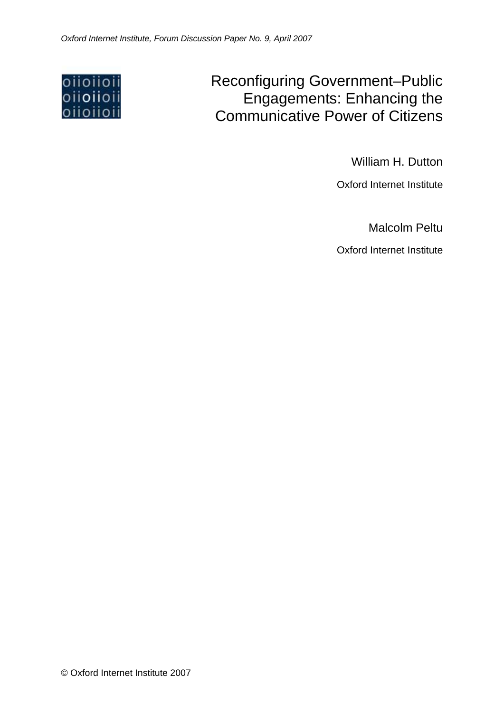

# Reconfiguring Government–Public Engagements: Enhancing the Communicative Power of Citizens

William H. Dutton

Oxford Internet Institute

Malcolm Peltu

Oxford Internet Institute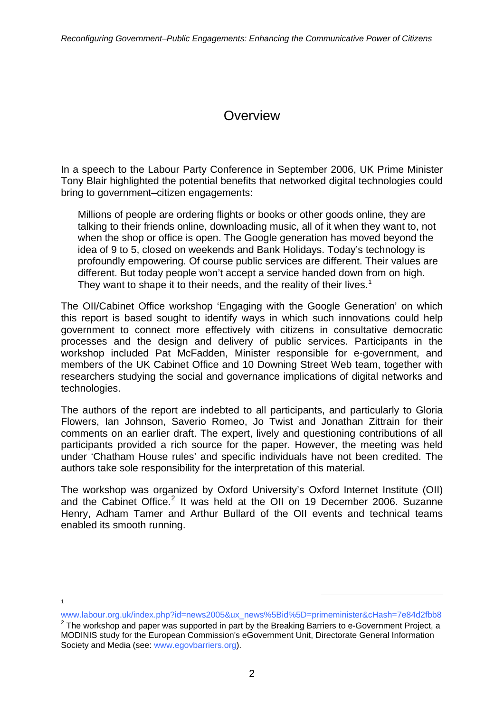## **Overview**

<span id="page-1-2"></span>In a speech to the Labour Party Conference in September 2006, UK Prime Minister Tony Blair highlighted the potential benefits that networked digital technologies could bring to government–citizen engagements:

Millions of people are ordering flights or books or other goods online, they are talking to their friends online, downloading music, all of it when they want to, not when the shop or office is open. The Google generation has moved beyond the idea of 9 to 5, closed on weekends and Bank Holidays. Today's technology is profoundly empowering. Of course public services are different. Their values are different. But today people won't accept a service handed down from on high. They want to shape it to their needs, and the reality of their lives.<sup>[1](#page-1-0)</sup>

The OII/Cabinet Office workshop 'Engaging with the Google Generation' on which this report is based sought to identify ways in which such innovations could help government to connect more effectively with citizens in consultative democratic processes and the design and delivery of public services. Participants in the workshop included Pat McFadden, Minister responsible for e-government, and members of the UK Cabinet Office and 10 Downing Street Web team, together with researchers studying the social and governance implications of digital networks and technologies.

The authors of the report are indebted to all participants, and particularly to Gloria Flowers, Ian Johnson, Saverio Romeo, Jo Twist and Jonathan Zittrain for their comments on an earlier draft. The expert, lively and questioning contributions of all participants provided a rich source for the paper. However, the meeting was held under 'Chatham House rules' and specific individuals have not been credited. The authors take sole responsibility for the interpretation of this material.

The workshop was organized by Oxford University's Oxford Internet Institute (OII) and the Cabinet Office.<sup>[2](#page-1-1)</sup> It was held at the OII on 19 December 2006. Suzanne Henry, Adham Tamer and Arthur Bullard of the OII events and technical teams enabled its smooth running.

1

<u>.</u>

<span id="page-1-1"></span><span id="page-1-0"></span>[www.labour.org.uk/index.php?id=news2005&ux\\_news%5Bid%5D=primeminister&cHash=7e84d2fbb8](http://www.labour.org.uk/index.php?id=news2005&ux_news%5Bid%5D=primeminister&cHash=7e84d2fbb8)  $2$  The workshop and paper was supported in part by the Breaking Barriers to e-Government Project, a MODINIS study for the European Commission's eGovernment Unit, Directorate General Information Society and Media (see: [www.egovbarriers.or](http://www.oii.ox.ac.uk/research/publications.cfmwww.egovbarriers.org)g).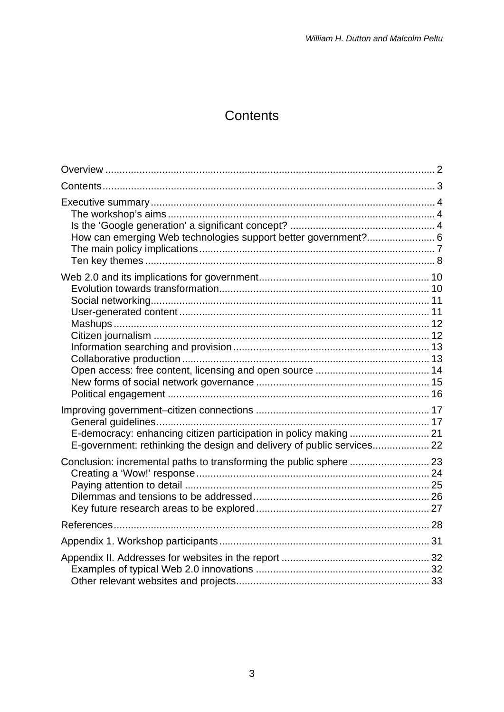## Contents

<span id="page-2-0"></span>

| Conclusion: incremental paths to transforming the public sphere  23 |  |
|---------------------------------------------------------------------|--|
|                                                                     |  |
|                                                                     |  |
|                                                                     |  |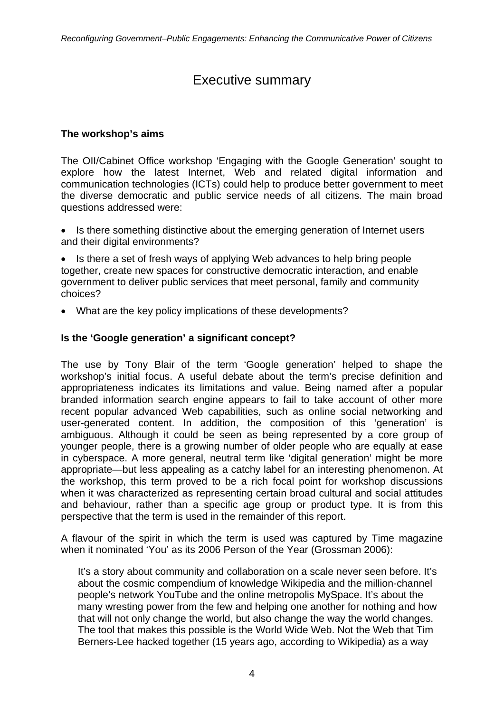## Executive summary

## <span id="page-3-0"></span>**The workshop's aims**

The OII/Cabinet Office workshop 'Engaging with the Google Generation' sought to explore how the latest Internet, Web and related digital information and communication technologies (ICTs) could help to produce better government to meet the diverse democratic and public service needs of all citizens. The main broad questions addressed were:

• Is there something distinctive about the emerging generation of Internet users and their digital environments?

• Is there a set of fresh ways of applying Web advances to help bring people together, create new spaces for constructive democratic interaction, and enable government to deliver public services that meet personal, family and community choices?

• What are the key policy implications of these developments?

## **Is the 'Google generation' a significant concept?**

The use by Tony Blair of the term 'Google generation' helped to shape the workshop's initial focus. A useful debate about the term's precise definition and appropriateness indicates its limitations and value. Being named after a popular branded information search engine appears to fail to take account of other more recent popular advanced Web capabilities, such as online social networking and user-generated content. In addition, the composition of this 'generation' is ambiguous. Although it could be seen as being represented by a core group of younger people, there is a growing number of older people who are equally at ease in cyberspace. A more general, neutral term like 'digital generation' might be more appropriate—but less appealing as a catchy label for an interesting phenomenon. At the workshop, this term proved to be a rich focal point for workshop discussions when it was characterized as representing certain broad cultural and social attitudes and behaviour, rather than a specific age group or product type. It is from this perspective that the term is used in the remainder of this report.

A flavour of the spirit in which the term is used was captured by Time magazine when it nominated 'You' as its 2006 Person of the Year (Grossman 2006):

It's a story about community and collaboration on a scale never seen before. It's about the cosmic compendium of knowledge Wikipedia and the million-channel people's network YouTube and the online metropolis MySpace. It's about the many wresting power from the few and helping one another for nothing and how that will not only change the world, but also change the way the world changes. The tool that makes this possible is the World Wide Web. Not the Web that Tim Berners-Lee hacked together (15 years ago, according to Wikipedia) as a way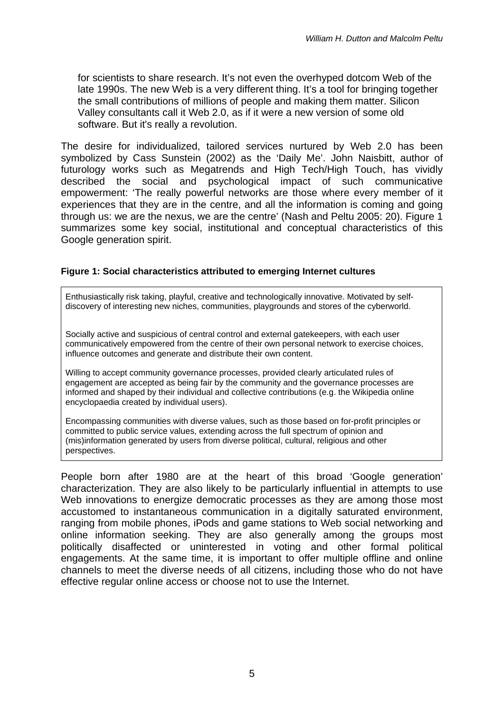for scientists to share research. It's not even the overhyped dotcom Web of the late 1990s. The new Web is a very different thing. It's a tool for bringing together the small contributions of millions of people and making them matter. Silicon Valley consultants call it Web 2.0, as if it were a new version of some old software. But it's really a revolution.

The desire for individualized, tailored services nurtured by Web 2.0 has been symbolized by Cass Sunstein (2002) as the 'Daily Me'. John Naisbitt, author of futurology works such as Megatrends and High Tech/High Touch, has vividly described the social and psychological impact of such communicative empowerment: 'The really powerful networks are those where every member of it experiences that they are in the centre, and all the information is coming and going through us: we are the nexus, we are the centre' (Nash and Peltu 2005: 20). Figure 1 summarizes some key social, institutional and conceptual characteristics of this Google generation spirit.

#### **Figure 1: Social characteristics attributed to emerging Internet cultures**

Enthusiastically risk taking, playful, creative and technologically innovative. Motivated by selfdiscovery of interesting new niches, communities, playgrounds and stores of the cyberworld.

Socially active and suspicious of central control and external gatekeepers, with each user communicatively empowered from the centre of their own personal network to exercise choices, influence outcomes and generate and distribute their own content.

Willing to accept community governance processes, provided clearly articulated rules of engagement are accepted as being fair by the community and the governance processes are informed and shaped by their individual and collective contributions (e.g. the Wikipedia online encyclopaedia created by individual users).

Encompassing communities with diverse values, such as those based on for-profit principles or committed to public service values, extending across the full spectrum of opinion and (mis)information generated by users from diverse political, cultural, religious and other perspectives.

People born after 1980 are at the heart of this broad 'Google generation' characterization. They are also likely to be particularly influential in attempts to use Web innovations to energize democratic processes as they are among those most accustomed to instantaneous communication in a digitally saturated environment, ranging from mobile phones, iPods and game stations to Web social networking and online information seeking. They are also generally among the groups most politically disaffected or uninterested in voting and other formal political engagements. At the same time, it is important to offer multiple offline and online channels to meet the diverse needs of all citizens, including those who do not have effective regular online access or choose not to use the Internet.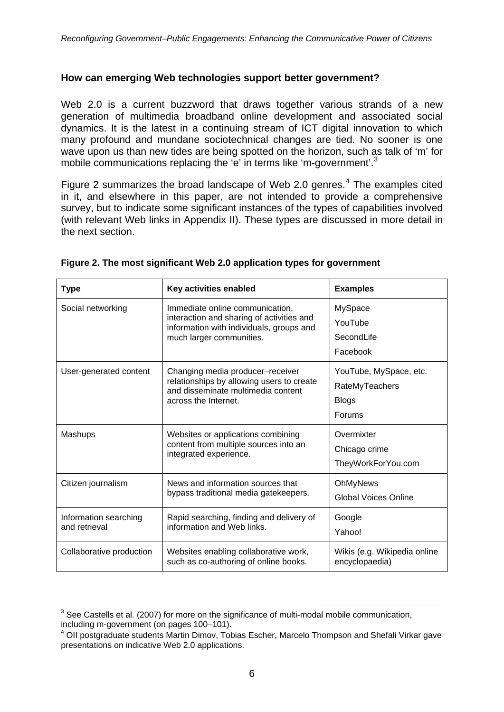### <span id="page-5-0"></span>**How can emerging Web technologies support better government?**

Web 2.0 is a current buzzword that draws together various strands of a new generation of multimedia broadband online development and associated social dynamics. It is the latest in a continuing stream of ICT digital innovation to which many profound and mundane sociotechnical changes are tied. No sooner is one wave upon us than new tides are being spotted on the horizon, such as talk of 'm' for mobile communications replacing the 'e' in terms like 'm-government'.<sup>[3](#page-5-1)</sup>

Figure 2 summarizes the broad landscape of Web 2.0 genres. $4$  The examples cited in it, and elsewhere in this paper, are not intended to provide a comprehensive survey, but to indicate some significant instances of the types of capabilities involved (with relevant Web links in Appendix II). These types are discussed in more detail in the next section.

| <b>Type</b>                            | Key activities enabled                                                                                                                               | <b>Examples</b>                                                    |
|----------------------------------------|------------------------------------------------------------------------------------------------------------------------------------------------------|--------------------------------------------------------------------|
| Social networking                      | Immediate online communication,<br>interaction and sharing of activities and<br>information with individuals, groups and<br>much larger communities. | <b>MySpace</b><br>YouTube<br>SecondLife<br>Facebook                |
| User-generated content                 | Changing media producer-receiver<br>relationships by allowing users to create<br>and disseminate multimedia content<br>across the Internet.          | YouTube, MySpace, etc.<br>RateMyTeachers<br><b>Blogs</b><br>Forums |
| Mashups                                | Websites or applications combining<br>content from multiple sources into an<br>integrated experience.                                                | Overmixter<br>Chicago crime<br>TheyWorkForYou.com                  |
| Citizen journalism                     | News and information sources that<br>bypass traditional media gatekeepers.                                                                           | <b>OhMyNews</b><br><b>Global Voices Online</b>                     |
| Information searching<br>and retrieval | Rapid searching, finding and delivery of<br>information and Web links.                                                                               | Google<br>Yahoo!                                                   |
| Collaborative production               | Websites enabling collaborative work,<br>such as co-authoring of online books.                                                                       | Wikis (e.g. Wikipedia online<br>encyclopaedia)                     |

#### **Figure 2. The most significant Web 2.0 application types for government**

<span id="page-5-1"></span> $^3$  See Castells et al. (2007) for more on the significance of multi-modal mobile communication, including m-government (on pages 100–101).

<span id="page-5-2"></span><sup>&</sup>lt;sup>4</sup> OII postgraduate students Martin Dimov, Tobias Escher, Marcelo Thompson and Shefali Virkar gave presentations on indicative Web 2.0 applications.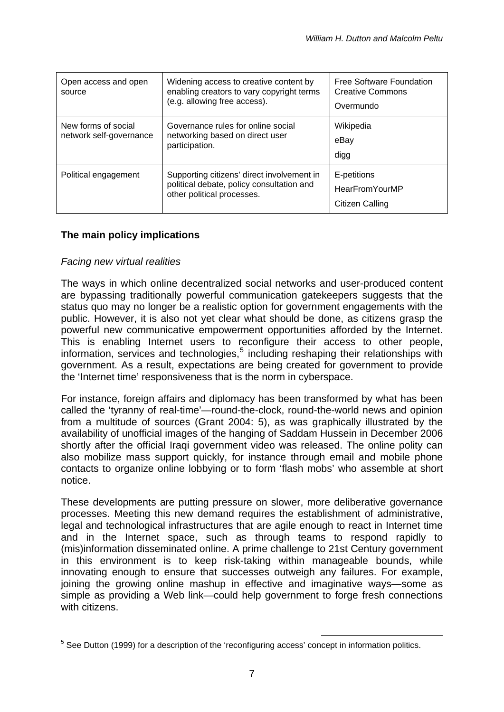<span id="page-6-0"></span>

| Open access and open<br>source                 | Widening access to creative content by<br>enabling creators to vary copyright terms<br>(e.g. allowing free access).   | <b>Free Software Foundation</b><br><b>Creative Commons</b><br>Overmundo |
|------------------------------------------------|-----------------------------------------------------------------------------------------------------------------------|-------------------------------------------------------------------------|
| New forms of social<br>network self-governance | Governance rules for online social<br>networking based on direct user<br>participation.                               | Wikipedia<br>eBay<br>digg                                               |
| Political engagement                           | Supporting citizens' direct involvement in<br>political debate, policy consultation and<br>other political processes. | E-petitions<br><b>HearFromYourMP</b><br>Citizen Calling                 |

#### **The main policy implications**

#### *Facing new virtual realities*

The ways in which online decentralized social networks and user-produced content are bypassing traditionally powerful communication gatekeepers suggests that the status quo may no longer be a realistic option for government engagements with the public. However, it is also not yet clear what should be done, as citizens grasp the powerful new communicative empowerment opportunities afforded by the Internet. This is enabling Internet users to reconfigure their access to other people, information, services and technologies, $5$  including reshaping their relationships with government. As a result, expectations are being created for government to provide the 'Internet time' responsiveness that is the norm in cyberspace.

For instance, foreign affairs and diplomacy has been transformed by what has been called the 'tyranny of real-time'—round-the-clock, round-the-world news and opinion from a multitude of sources (Grant 2004: 5), as was graphically illustrated by the availability of unofficial images of the hanging of Saddam Hussein in December 2006 shortly after the official Iraqi government video was released. The online polity can also mobilize mass support quickly, for instance through email and mobile phone contacts to organize online lobbying or to form 'flash mobs' who assemble at short notice.

These developments are putting pressure on slower, more deliberative governance processes. Meeting this new demand requires the establishment of administrative, legal and technological infrastructures that are agile enough to react in Internet time and in the Internet space, such as through teams to respond rapidly to (mis)information disseminated online. A prime challenge to 21st Century government in this environment is to keep risk-taking within manageable bounds, while innovating enough to ensure that successes outweigh any failures. For example, joining the growing online mashup in effective and imaginative ways—some as simple as providing a Web link—could help government to forge fresh connections with citizens.

<span id="page-6-1"></span><sup>5</sup> See Dutton (1999) for a description of the 'reconfiguring access' concept in information politics.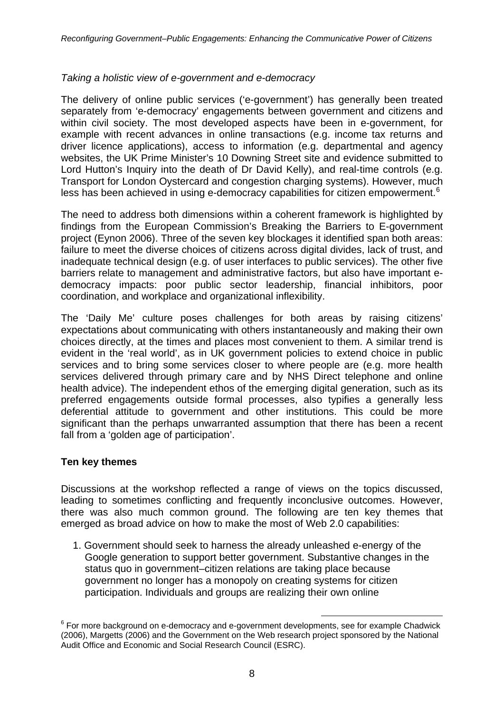## <span id="page-7-0"></span>*Taking a holistic view of e-government and e-democracy*

The delivery of online public services ('e-government') has generally been treated separately from 'e-democracy' engagements between government and citizens and within civil society. The most developed aspects have been in e-government, for example with recent advances in online transactions (e.g. income tax returns and driver licence applications), access to information (e.g. departmental and agency websites, the UK Prime Minister's 10 Downing Street site and evidence submitted to Lord Hutton's Inquiry into the death of Dr David Kelly), and real-time controls (e.g. Transport for London Oystercard and congestion charging systems). However, much less has been achieved in using e-democracy capabilities for citizen empowerment.<sup>[6](#page-7-1)</sup>

The need to address both dimensions within a coherent framework is highlighted by findings from the European Commission's Breaking the Barriers to E-government project (Eynon 2006). Three of the seven key blockages it identified span both areas: failure to meet the diverse choices of citizens across digital divides, lack of trust, and inadequate technical design (e.g. of user interfaces to public services). The other five barriers relate to management and administrative factors, but also have important edemocracy impacts: poor public sector leadership, financial inhibitors, poor coordination, and workplace and organizational inflexibility.

The 'Daily Me' culture poses challenges for both areas by raising citizens' expectations about communicating with others instantaneously and making their own choices directly, at the times and places most convenient to them. A similar trend is evident in the 'real world', as in UK government policies to extend choice in public services and to bring some services closer to where people are (e.g. more health services delivered through primary care and by NHS Direct telephone and online health advice). The independent ethos of the emerging digital generation, such as its preferred engagements outside formal processes, also typifies a generally less deferential attitude to government and other institutions. This could be more significant than the perhaps unwarranted assumption that there has been a recent fall from a 'golden age of participation'.

#### **Ten key themes**

Discussions at the workshop reflected a range of views on the topics discussed, leading to sometimes conflicting and frequently inconclusive outcomes. However, there was also much common ground. The following are ten key themes that emerged as broad advice on how to make the most of Web 2.0 capabilities:

1. Government should seek to harness the already unleashed e-energy of the Google generation to support better government. Substantive changes in the status quo in government–citizen relations are taking place because government no longer has a monopoly on creating systems for citizen participation. Individuals and groups are realizing their own online

<span id="page-7-1"></span><sup>6</sup> For more background on e-democracy and e-government developments, see for example Chadwick (2006), Margetts (2006) and the Government on the Web research project sponsored by the National Audit Office and Economic and Social Research Council (ESRC).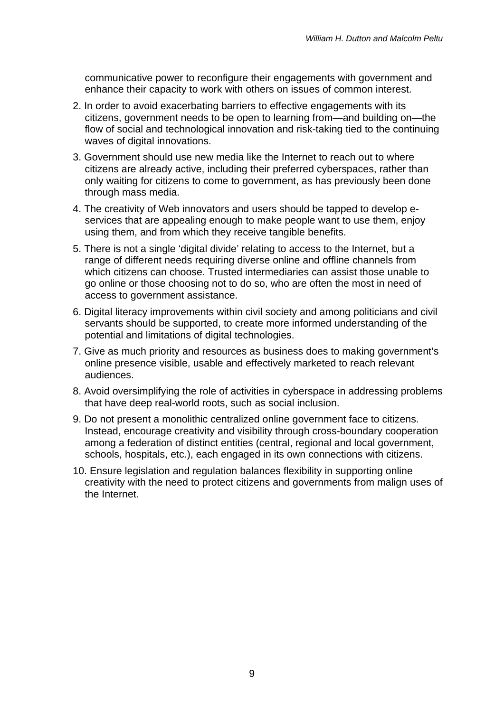communicative power to reconfigure their engagements with government and enhance their capacity to work with others on issues of common interest.

- 2. In order to avoid exacerbating barriers to effective engagements with its citizens, government needs to be open to learning from—and building on—the flow of social and technological innovation and risk-taking tied to the continuing waves of digital innovations.
- 3. Government should use new media like the Internet to reach out to where citizens are already active, including their preferred cyberspaces, rather than only waiting for citizens to come to government, as has previously been done through mass media.
- 4. The creativity of Web innovators and users should be tapped to develop eservices that are appealing enough to make people want to use them, enjoy using them, and from which they receive tangible benefits.
- 5. There is not a single 'digital divide' relating to access to the Internet, but a range of different needs requiring diverse online and offline channels from which citizens can choose. Trusted intermediaries can assist those unable to go online or those choosing not to do so, who are often the most in need of access to government assistance.
- 6. Digital literacy improvements within civil society and among politicians and civil servants should be supported, to create more informed understanding of the potential and limitations of digital technologies.
- 7. Give as much priority and resources as business does to making government's online presence visible, usable and effectively marketed to reach relevant audiences.
- 8. Avoid oversimplifying the role of activities in cyberspace in addressing problems that have deep real-world roots, such as social inclusion.
- 9. Do not present a monolithic centralized online government face to citizens. Instead, encourage creativity and visibility through cross-boundary cooperation among a federation of distinct entities (central, regional and local government, schools, hospitals, etc.), each engaged in its own connections with citizens.
- 10. Ensure legislation and regulation balances flexibility in supporting online creativity with the need to protect citizens and governments from malign uses of the Internet.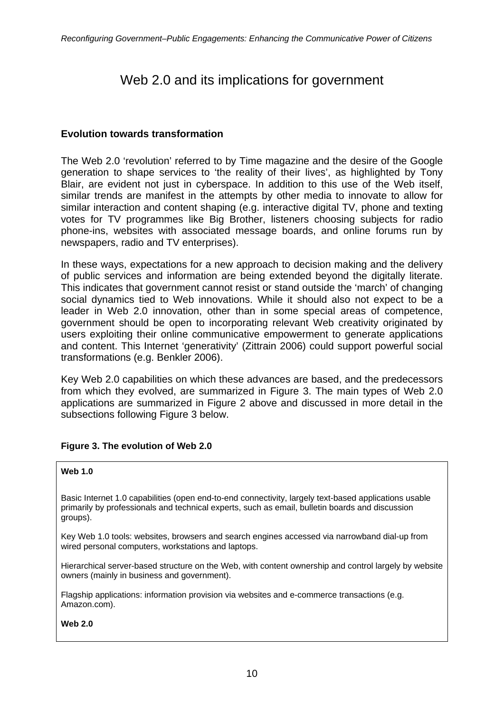## <span id="page-9-0"></span>Web 2.0 and its implications for government

## **Evolution towards transformation**

The Web 2.0 'revolution' referred to by Time magazine and the desire of the Google generation to shape services to 'the reality of their lives', as highlighted by Tony Blair, are evident not just in cyberspace. In addition to this use of the Web itself, similar trends are manifest in the attempts by other media to innovate to allow for similar interaction and content shaping (e.g. interactive digital TV, phone and texting votes for TV programmes like Big Brother, listeners choosing subjects for radio phone-ins, websites with associated message boards, and online forums run by newspapers, radio and TV enterprises).

In these ways, expectations for a new approach to decision making and the delivery of public services and information are being extended beyond the digitally literate. This indicates that government cannot resist or stand outside the 'march' of changing social dynamics tied to Web innovations. While it should also not expect to be a leader in Web 2.0 innovation, other than in some special areas of competence, government should be open to incorporating relevant Web creativity originated by users exploiting their online communicative empowerment to generate applications and content. This Internet 'generativity' (Zittrain 2006) could support powerful social transformations (e.g. Benkler 2006).

Key Web 2.0 capabilities on which these advances are based, and the predecessors from which they evolved, are summarized in Figure 3. The main types of Web 2.0 applications are summarized in Figure 2 above and discussed in more detail in the subsections following Figure 3 below.

#### **Figure 3. The evolution of Web 2.0**

#### **Web 1.0**

Basic Internet 1.0 capabilities (open end-to-end connectivity, largely text-based applications usable primarily by professionals and technical experts, such as email, bulletin boards and discussion groups).

Key Web 1.0 tools: websites, browsers and search engines accessed via narrowband dial-up from wired personal computers, workstations and laptops.

Hierarchical server-based structure on the Web, with content ownership and control largely by website owners (mainly in business and government).

Flagship applications: information provision via websites and e-commerce transactions (e.g. Amazon.com).

**Web 2.0**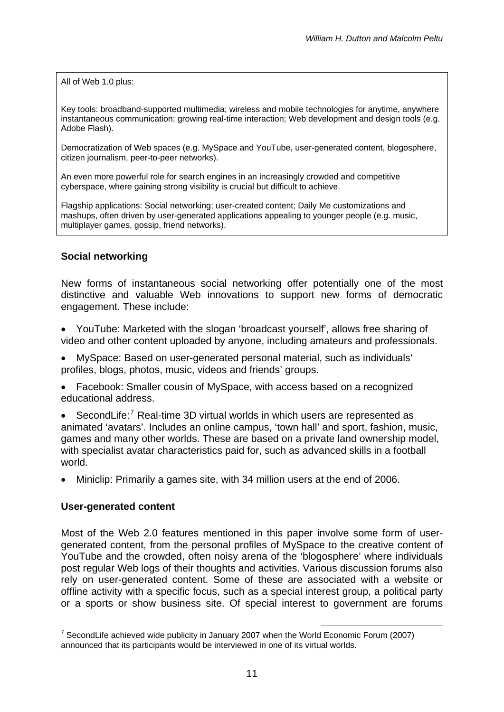<span id="page-10-0"></span>All of Web 1.0 plus:

Key tools: broadband-supported multimedia; wireless and mobile technologies for anytime, anywhere instantaneous communication; growing real-time interaction; Web development and design tools (e.g. Adobe Flash).

Democratization of Web spaces (e.g. MySpace and YouTube, user-generated content, blogosphere, citizen journalism, peer-to-peer networks).

An even more powerful role for search engines in an increasingly crowded and competitive cyberspace, where gaining strong visibility is crucial but difficult to achieve.

Flagship applications: Social networking; user-created content; Daily Me customizations and mashups, often driven by user-generated applications appealing to younger people (e.g. music, multiplayer games, gossip, friend networks).

#### **Social networking**

New forms of instantaneous social networking offer potentially one of the most distinctive and valuable Web innovations to support new forms of democratic engagement. These include:

• YouTube: Marketed with the slogan 'broadcast yourself', allows free sharing of video and other content uploaded by anyone, including amateurs and professionals.

• MySpace: Based on user-generated personal material, such as individuals' profiles, blogs, photos, music, videos and friends' groups.

• Facebook: Smaller cousin of MySpace, with access based on a recognized educational address.

• SecondLife: $<sup>7</sup>$  $<sup>7</sup>$  $<sup>7</sup>$  Real-time 3D virtual worlds in which users are represented as</sup> animated 'avatars'. Includes an online campus, 'town hall' and sport, fashion, music, games and many other worlds. These are based on a private land ownership model, with specialist avatar characteristics paid for, such as advanced skills in a football world.

• Miniclip: Primarily a games site, with 34 million users at the end of 2006.

#### **User-generated content**

Most of the Web 2.0 features mentioned in this paper involve some form of usergenerated content, from the personal profiles of MySpace to the creative content of YouTube and the crowded, often noisy arena of the 'blogosphere' where individuals post regular Web logs of their thoughts and activities. Various discussion forums also rely on user-generated content. Some of these are associated with a website or offline activity with a specific focus, such as a special interest group, a political party or a sports or show business site. Of special interest to government are forums

<span id="page-10-1"></span><sup>7</sup> SecondLife achieved wide publicity in January 2007 when the World Economic Forum (2007) announced that its participants would be interviewed in one of its virtual worlds.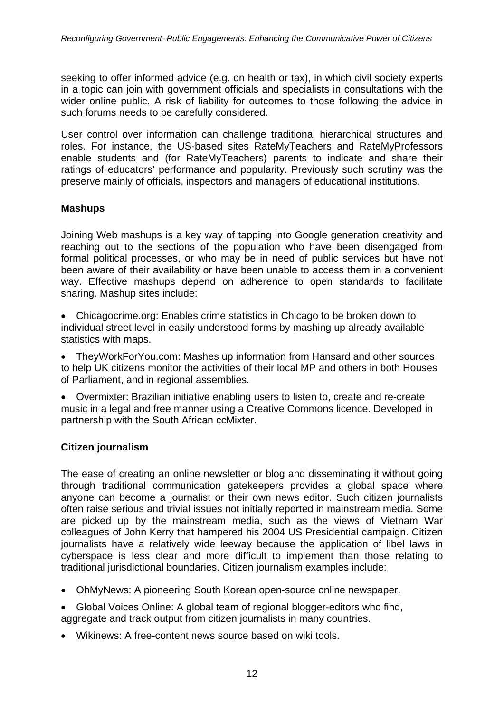<span id="page-11-0"></span>seeking to offer informed advice (e.g. on health or tax), in which civil society experts in a topic can join with government officials and specialists in consultations with the wider online public. A risk of liability for outcomes to those following the advice in such forums needs to be carefully considered.

User control over information can challenge traditional hierarchical structures and roles. For instance, the US-based sites RateMyTeachers and RateMyProfessors enable students and (for RateMyTeachers) parents to indicate and share their ratings of educators' performance and popularity. Previously such scrutiny was the preserve mainly of officials, inspectors and managers of educational institutions.

## **Mashups**

Joining Web mashups is a key way of tapping into Google generation creativity and reaching out to the sections of the population who have been disengaged from formal political processes, or who may be in need of public services but have not been aware of their availability or have been unable to access them in a convenient way. Effective mashups depend on adherence to open standards to facilitate sharing. Mashup sites include:

• Chicagocrime.org: Enables crime statistics in Chicago to be broken down to individual street level in easily understood forms by mashing up already available statistics with maps.

• TheyWorkForYou.com: Mashes up information from Hansard and other sources to help UK citizens monitor the activities of their local MP and others in both Houses of Parliament, and in regional assemblies.

• Overmixter: Brazilian initiative enabling users to listen to, create and re-create music in a legal and free manner using a Creative Commons licence. Developed in partnership with the South African ccMixter.

## **Citizen journalism**

The ease of creating an online newsletter or blog and disseminating it without going through traditional communication gatekeepers provides a global space where anyone can become a journalist or their own news editor. Such citizen journalists often raise serious and trivial issues not initially reported in mainstream media. Some are picked up by the mainstream media, such as the views of Vietnam War colleagues of John Kerry that hampered his 2004 US Presidential campaign. Citizen journalists have a relatively wide leeway because the application of libel laws in cyberspace is less clear and more difficult to implement than those relating to traditional jurisdictional boundaries. Citizen journalism examples include:

• OhMyNews: A pioneering South Korean open-source online newspaper.

• Global Voices Online: A global team of regional blogger-editors who find, aggregate and track output from citizen journalists in many countries.

• Wikinews: A free-content news source based on wiki tools.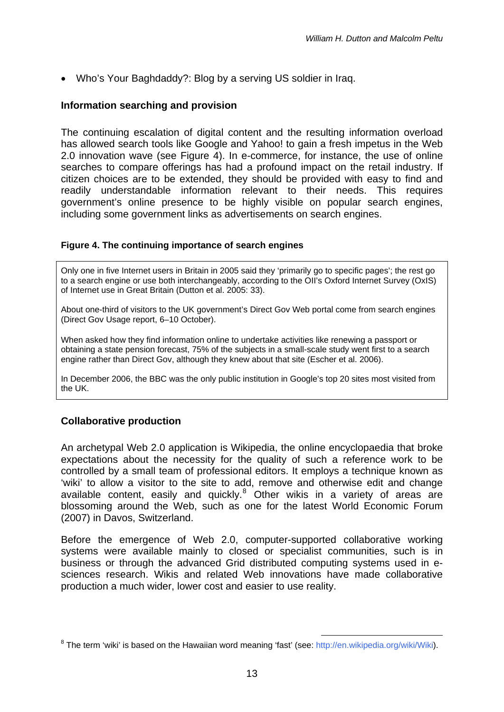<span id="page-12-0"></span>• Who's Your Baghdaddy?: Blog by a serving US soldier in Iraq.

#### **Information searching and provision**

The continuing escalation of digital content and the resulting information overload has allowed search tools like Google and Yahoo! to gain a fresh impetus in the Web 2.0 innovation wave (see Figure 4). In e-commerce, for instance, the use of online searches to compare offerings has had a profound impact on the retail industry. If citizen choices are to be extended, they should be provided with easy to find and readily understandable information relevant to their needs. This requires government's online presence to be highly visible on popular search engines, including some government links as advertisements on search engines.

#### **Figure 4. The continuing importance of search engines**

Only one in five Internet users in Britain in 2005 said they 'primarily go to specific pages'; the rest go to a search engine or use both interchangeably, according to the OII's Oxford Internet Survey (OxIS) of Internet use in Great Britain (Dutton et al. 2005: 33).

About one-third of visitors to the UK government's Direct Gov Web portal come from search engines (Direct Gov Usage report, 6–10 October).

When asked how they find information online to undertake activities like renewing a passport or obtaining a state pension forecast, 75% of the subjects in a small-scale study went first to a search engine rather than Direct Gov, although they knew about that site (Escher et al. 2006).

In December 2006, the BBC was the only public institution in Google's top 20 sites most visited from the UK.

## **Collaborative production**

An archetypal Web 2.0 application is Wikipedia, the online encyclopaedia that broke expectations about the necessity for the quality of such a reference work to be controlled by a small team of professional editors. It employs a technique known as 'wiki' to allow a visitor to the site to add, remove and otherwise edit and change available content, easily and quickly. $8$  Other wikis in a variety of areas are blossoming around the Web, such as one for the latest World Economic Forum (2007) in Davos, Switzerland.

Before the emergence of Web 2.0, computer-supported collaborative working systems were available mainly to closed or specialist communities, such is in business or through the advanced Grid distributed computing systems used in esciences research. Wikis and related Web innovations have made collaborative production a much wider, lower cost and easier to use reality.

<span id="page-12-1"></span><sup>&</sup>lt;sup>8</sup> The term 'wiki' is based on the Hawaiian word meaning 'fast' (see: http://en.wikipedia.org/wiki/Wiki).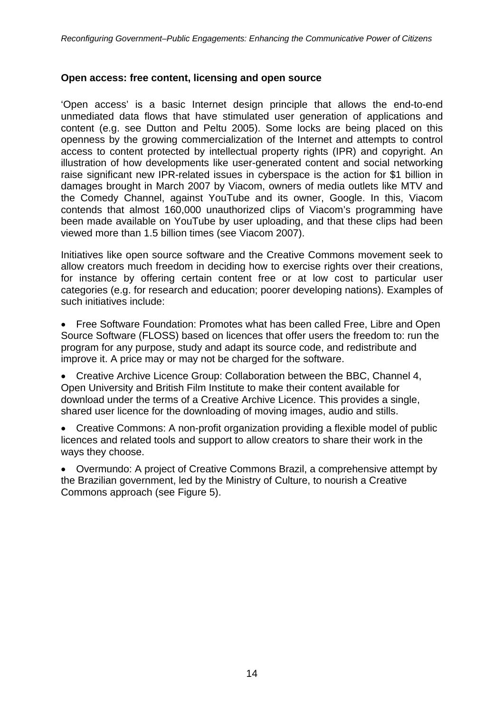### <span id="page-13-0"></span>**Open access: free content, licensing and open source**

'Open access' is a basic Internet design principle that allows the end-to-end unmediated data flows that have stimulated user generation of applications and content (e.g. see Dutton and Peltu 2005). Some locks are being placed on this openness by the growing commercialization of the Internet and attempts to control access to content protected by intellectual property rights (IPR) and copyright. An illustration of how developments like user-generated content and social networking raise significant new IPR-related issues in cyberspace is the action for \$1 billion in damages brought in March 2007 by Viacom, owners of media outlets like MTV and the Comedy Channel, against YouTube and its owner, Google. In this, Viacom contends that almost 160,000 unauthorized clips of Viacom's programming have been made available on YouTube by user uploading, and that these clips had been viewed more than 1.5 billion times (see Viacom 2007).

Initiatives like open source software and the Creative Commons movement seek to allow creators much freedom in deciding how to exercise rights over their creations, for instance by offering certain content free or at low cost to particular user categories (e.g. for research and education; poorer developing nations). Examples of such initiatives include:

• Free Software Foundation: Promotes what has been called Free, Libre and Open Source Software (FLOSS) based on licences that offer users the freedom to: run the program for any purpose, study and adapt its source code, and redistribute and improve it. A price may or may not be charged for the software.

• Creative Archive Licence Group: Collaboration between the BBC, Channel 4, Open University and British Film Institute to make their content available for download under the terms of a Creative Archive Licence. This provides a single, shared user licence for the downloading of moving images, audio and stills.

• Creative Commons: A non-profit organization providing a flexible model of public licences and related tools and support to allow creators to share their work in the ways they choose.

• Overmundo: A project of Creative Commons Brazil, a comprehensive attempt by the Brazilian government, led by the Ministry of Culture, to nourish a Creative Commons approach (see Figure 5).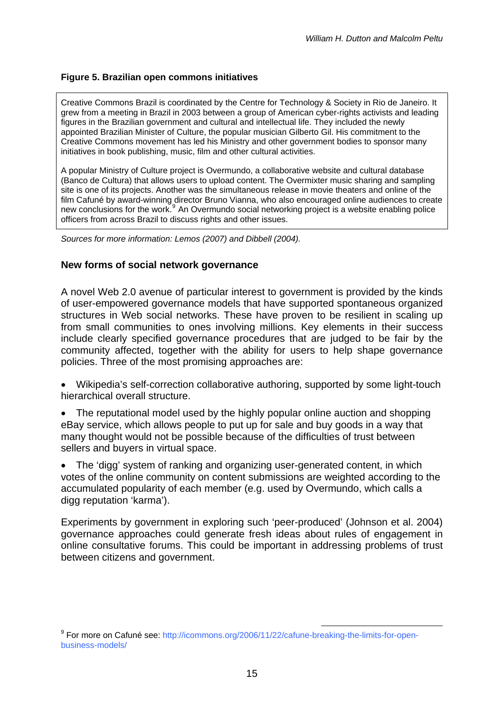#### <span id="page-14-0"></span>**Figure 5. Brazilian open commons initiatives**

Creative Commons Brazil is coordinated by the Centre for Technology & Society in Rio de Janeiro. It grew from a meeting in Brazil in 2003 between a group of American cyber-rights activists and leading figures in the Brazilian government and cultural and intellectual life. They included the newly appointed Brazilian Minister of Culture, the popular musician Gilberto Gil. His commitment to the Creative Commons movement has led his Ministry and other government bodies to sponsor many initiatives in book publishing, music, film and other cultural activities.

A popular Ministry of Culture project is Overmundo, a collaborative website and cultural database (Banco de Cultura) that allows users to upload content. The Overmixter music sharing and sampling site is one of its projects. Another was the simultaneous release in movie theaters and online of the film Cafuné by award-winning director Bruno Vianna, who also encouraged online audiences to create new conclusions for the work.<sup>[9](#page-14-1)</sup> An Overmundo social networking project is a website enabling police officers from across Brazil to discuss rights and other issues.

*Sources for more information: Lemos (2007) and Dibbell (2004).* 

#### **New forms of social network governance**

A novel Web 2.0 avenue of particular interest to government is provided by the kinds of user-empowered governance models that have supported spontaneous organized structures in Web social networks. These have proven to be resilient in scaling up from small communities to ones involving millions. Key elements in their success include clearly specified governance procedures that are judged to be fair by the community affected, together with the ability for users to help shape governance policies. Three of the most promising approaches are:

• Wikipedia's self-correction collaborative authoring, supported by some light-touch hierarchical overall structure.

• The reputational model used by the highly popular online auction and shopping eBay service, which allows people to put up for sale and buy goods in a way that many thought would not be possible because of the difficulties of trust between sellers and buyers in virtual space.

• The 'digg' system of ranking and organizing user-generated content, in which votes of the online community on content submissions are weighted according to the accumulated popularity of each member (e.g. used by Overmundo, which calls a digg reputation 'karma').

Experiments by government in exploring such 'peer-produced' (Johnson et al. 2004) governance approaches could generate fresh ideas about rules of engagement in online consultative forums. This could be important in addressing problems of trust between citizens and government.

<span id="page-14-1"></span><sup>&</sup>lt;sup>9</sup><br>For more on Cafuné see: [http://icommons.org/2006/11/22/cafune-breaking-the-limits-for-open](http://icommons.org/2006/11/22/cafune-breaking-the-limits-for-open-business-models/)[business-models/](http://icommons.org/2006/11/22/cafune-breaking-the-limits-for-open-business-models/)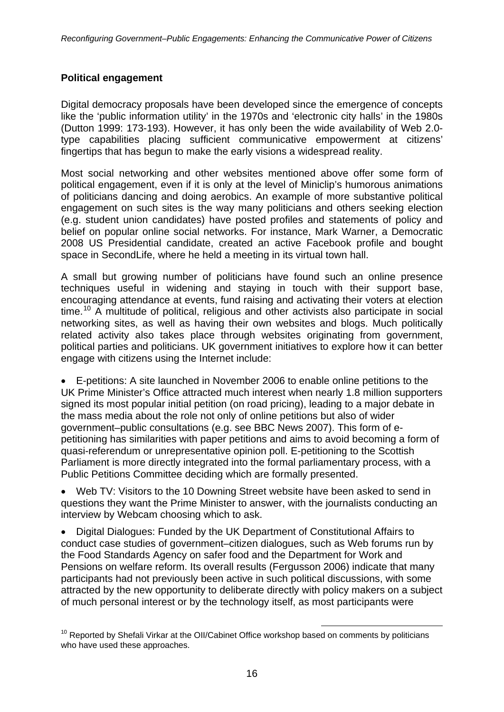## <span id="page-15-0"></span>**Political engagement**

Digital democracy proposals have been developed since the emergence of concepts like the 'public information utility' in the 1970s and 'electronic city halls' in the 1980s (Dutton 1999: 173-193). However, it has only been the wide availability of Web 2.0 type capabilities placing sufficient communicative empowerment at citizens' fingertips that has begun to make the early visions a widespread reality.

Most social networking and other websites mentioned above offer some form of political engagement, even if it is only at the level of Miniclip's humorous animations of politicians dancing and doing aerobics. An example of more substantive political engagement on such sites is the way many politicians and others seeking election (e.g. student union candidates) have posted profiles and statements of policy and belief on popular online social networks. For instance, Mark Warner, a Democratic 2008 US Presidential candidate, created an active Facebook profile and bought space in SecondLife, where he held a meeting in its virtual town hall.

A small but growing number of politicians have found such an online presence techniques useful in widening and staying in touch with their support base, encouraging attendance at events, fund raising and activating their voters at election  $time<sup>10</sup>$  $time<sup>10</sup>$  $time<sup>10</sup>$  A multitude of political, religious and other activists also participate in social networking sites, as well as having their own websites and blogs. Much politically related activity also takes place through websites originating from government, political parties and politicians. UK government initiatives to explore how it can better engage with citizens using the Internet include:

• E-petitions: A site launched in November 2006 to enable online petitions to the UK Prime Minister's Office attracted much interest when nearly 1.8 million supporters signed its most popular initial petition (on road pricing), leading to a major debate in the mass media about the role not only of online petitions but also of wider government–public consultations (e.g. see BBC News 2007). This form of epetitioning has similarities with paper petitions and aims to avoid becoming a form of quasi-referendum or unrepresentative opinion poll. E-petitioning to the Scottish Parliament is more directly integrated into the formal parliamentary process, with a Public Petitions Committee deciding which are formally presented.

• Web TV: Visitors to the 10 Downing Street website have been asked to send in questions they want the Prime Minister to answer, with the journalists conducting an interview by Webcam choosing which to ask.

• Digital Dialogues: Funded by the UK Department of Constitutional Affairs to conduct case studies of government–citizen dialogues, such as Web forums run by the Food Standards Agency on safer food and the Department for Work and Pensions on welfare reform. Its overall results (Fergusson 2006) indicate that many participants had not previously been active in such political discussions, with some attracted by the new opportunity to deliberate directly with policy makers on a subject of much personal interest or by the technology itself, as most participants were

<span id="page-15-1"></span> $10$  Reported by Shefali Virkar at the OII/Cabinet Office workshop based on comments by politicians who have used these approaches.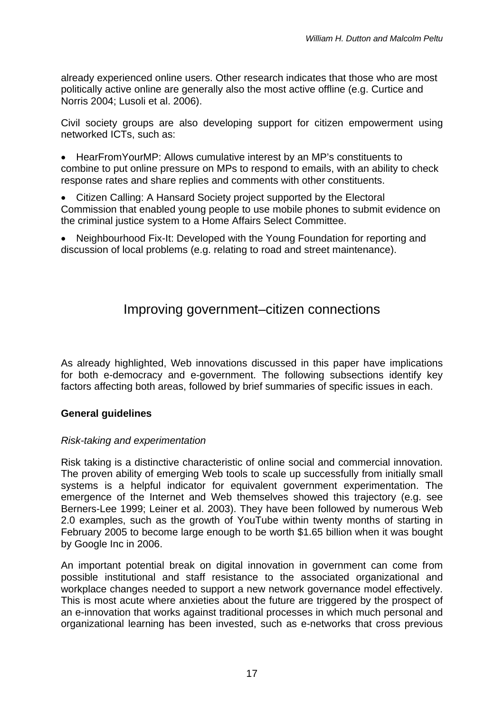<span id="page-16-0"></span>already experienced online users. Other research indicates that those who are most politically active online are generally also the most active offline (e.g. Curtice and Norris 2004; Lusoli et al. 2006).

Civil society groups are also developing support for citizen empowerment using networked ICTs, such as:

• HearFromYourMP: Allows cumulative interest by an MP's constituents to combine to put online pressure on MPs to respond to emails, with an ability to check response rates and share replies and comments with other constituents.

• Citizen Calling: A Hansard Society project supported by the Electoral Commission that enabled young people to use mobile phones to submit evidence on the criminal justice system to a Home Affairs Select Committee.

• Neighbourhood Fix-It: Developed with the Young Foundation for reporting and discussion of local problems (e.g. relating to road and street maintenance).

## Improving government–citizen connections

As already highlighted, Web innovations discussed in this paper have implications for both e-democracy and e-government. The following subsections identify key factors affecting both areas, followed by brief summaries of specific issues in each.

#### **General guidelines**

#### *Risk-taking and experimentation*

Risk taking is a distinctive characteristic of online social and commercial innovation. The proven ability of emerging Web tools to scale up successfully from initially small systems is a helpful indicator for equivalent government experimentation. The emergence of the Internet and Web themselves showed this trajectory (e.g. see Berners-Lee 1999; Leiner et al. 2003). They have been followed by numerous Web 2.0 examples, such as the growth of YouTube within twenty months of starting in February 2005 to become large enough to be worth \$1.65 billion when it was bought by Google Inc in 2006.

An important potential break on digital innovation in government can come from possible institutional and staff resistance to the associated organizational and workplace changes needed to support a new network governance model effectively. This is most acute where anxieties about the future are triggered by the prospect of an e-innovation that works against traditional processes in which much personal and organizational learning has been invested, such as e-networks that cross previous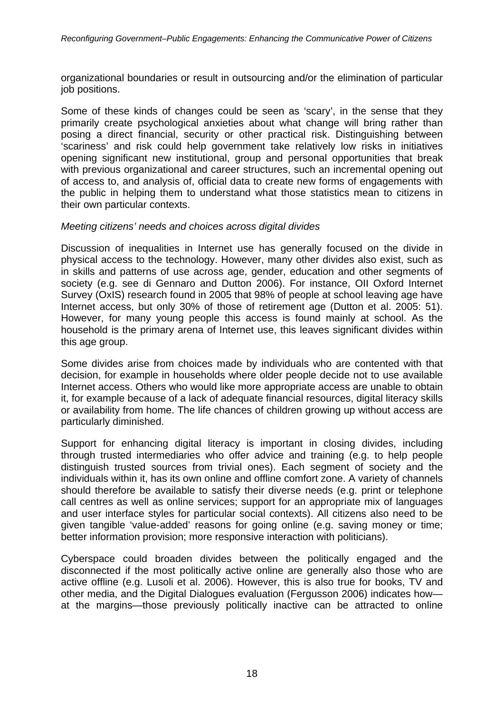organizational boundaries or result in outsourcing and/or the elimination of particular job positions.

Some of these kinds of changes could be seen as 'scary', in the sense that they primarily create psychological anxieties about what change will bring rather than posing a direct financial, security or other practical risk. Distinguishing between 'scariness' and risk could help government take relatively low risks in initiatives opening significant new institutional, group and personal opportunities that break with previous organizational and career structures, such an incremental opening out of access to, and analysis of, official data to create new forms of engagements with the public in helping them to understand what those statistics mean to citizens in their own particular contexts.

#### *Meeting citizens' needs and choices across digital divides*

Discussion of inequalities in Internet use has generally focused on the divide in physical access to the technology. However, many other divides also exist, such as in skills and patterns of use across age, gender, education and other segments of society (e.g. see di Gennaro and Dutton 2006). For instance, OII Oxford Internet Survey (OxIS) research found in 2005 that 98% of people at school leaving age have Internet access, but only 30% of those of retirement age (Dutton et al. 2005: 51). However, for many young people this access is found mainly at school. As the household is the primary arena of Internet use, this leaves significant divides within this age group.

Some divides arise from choices made by individuals who are contented with that decision, for example in households where older people decide not to use available Internet access. Others who would like more appropriate access are unable to obtain it, for example because of a lack of adequate financial resources, digital literacy skills or availability from home. The life chances of children growing up without access are particularly diminished.

Support for enhancing digital literacy is important in closing divides, including through trusted intermediaries who offer advice and training (e.g. to help people distinguish trusted sources from trivial ones). Each segment of society and the individuals within it, has its own online and offline comfort zone. A variety of channels should therefore be available to satisfy their diverse needs (e.g. print or telephone call centres as well as online services; support for an appropriate mix of languages and user interface styles for particular social contexts). All citizens also need to be given tangible 'value-added' reasons for going online (e.g. saving money or time; better information provision; more responsive interaction with politicians).

Cyberspace could broaden divides between the politically engaged and the disconnected if the most politically active online are generally also those who are active offline (e.g. Lusoli et al. 2006). However, this is also true for books, TV and other media, and the Digital Dialogues evaluation (Fergusson 2006) indicates how at the margins—those previously politically inactive can be attracted to online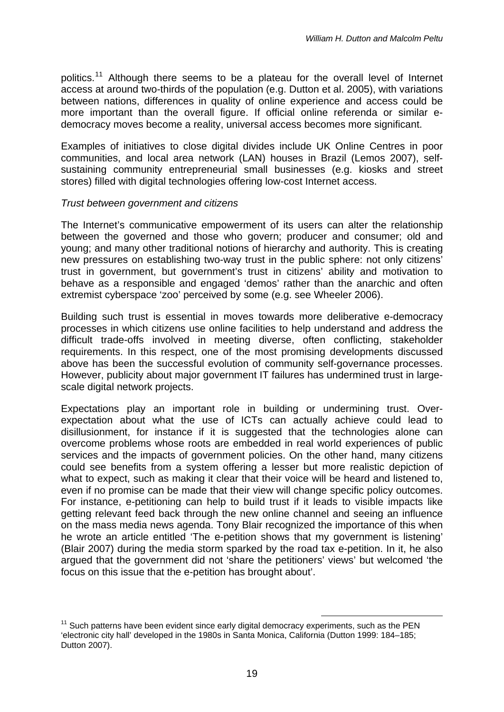politics.<sup>[11](#page-18-0)</sup> Although there seems to be a plateau for the overall level of Internet access at around two-thirds of the population (e.g. Dutton et al. 2005), with variations between nations, differences in quality of online experience and access could be more important than the overall figure. If official online referenda or similar edemocracy moves become a reality, universal access becomes more significant.

Examples of initiatives to close digital divides include UK Online Centres in poor communities, and local area network (LAN) houses in Brazil (Lemos 2007), selfsustaining community entrepreneurial small businesses (e.g. kiosks and street stores) filled with digital technologies offering low-cost Internet access.

#### *Trust between government and citizens*

The Internet's communicative empowerment of its users can alter the relationship between the governed and those who govern; producer and consumer; old and young; and many other traditional notions of hierarchy and authority. This is creating new pressures on establishing two-way trust in the public sphere: not only citizens' trust in government, but government's trust in citizens' ability and motivation to behave as a responsible and engaged 'demos' rather than the anarchic and often extremist cyberspace 'zoo' perceived by some (e.g. see Wheeler 2006).

Building such trust is essential in moves towards more deliberative e-democracy processes in which citizens use online facilities to help understand and address the difficult trade-offs involved in meeting diverse, often conflicting, stakeholder requirements. In this respect, one of the most promising developments discussed above has been the successful evolution of community self-governance processes. However, publicity about major government IT failures has undermined trust in largescale digital network projects.

Expectations play an important role in building or undermining trust. Overexpectation about what the use of ICTs can actually achieve could lead to disillusionment, for instance if it is suggested that the technologies alone can overcome problems whose roots are embedded in real world experiences of public services and the impacts of government policies. On the other hand, many citizens could see benefits from a system offering a lesser but more realistic depiction of what to expect, such as making it clear that their voice will be heard and listened to. even if no promise can be made that their view will change specific policy outcomes. For instance, e-petitioning can help to build trust if it leads to visible impacts like getting relevant feed back through the new online channel and seeing an influence on the mass media news agenda. Tony Blair recognized the importance of this when he wrote an article entitled 'The e-petition shows that my government is listening' (Blair 2007) during the media storm sparked by the road tax e-petition. In it, he also argued that the government did not 'share the petitioners' views' but welcomed 'the focus on this issue that the e-petition has brought about'.

<span id="page-18-0"></span> $11$  Such patterns have been evident since early digital democracy experiments, such as the PEN 'electronic city hall' developed in the 1980s in Santa Monica, California (Dutton 1999: 184–185; Dutton 2007).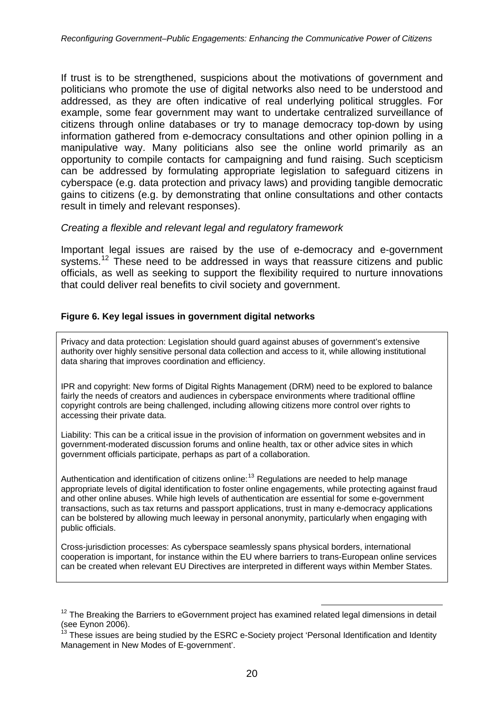If trust is to be strengthened, suspicions about the motivations of government and politicians who promote the use of digital networks also need to be understood and addressed, as they are often indicative of real underlying political struggles. For example, some fear government may want to undertake centralized surveillance of citizens through online databases or try to manage democracy top-down by using information gathered from e-democracy consultations and other opinion polling in a manipulative way. Many politicians also see the online world primarily as an opportunity to compile contacts for campaigning and fund raising. Such scepticism can be addressed by formulating appropriate legislation to safeguard citizens in cyberspace (e.g. data protection and privacy laws) and providing tangible democratic gains to citizens (e.g. by demonstrating that online consultations and other contacts result in timely and relevant responses).

#### *Creating a flexible and relevant legal and regulatory framework*

Important legal issues are raised by the use of e-democracy and e-government systems.<sup>[12](#page-19-0)</sup> These need to be addressed in ways that reassure citizens and public officials, as well as seeking to support the flexibility required to nurture innovations that could deliver real benefits to civil society and government.

### **Figure 6. Key legal issues in government digital networks**

Privacy and data protection: Legislation should guard against abuses of government's extensive authority over highly sensitive personal data collection and access to it, while allowing institutional data sharing that improves coordination and efficiency.

IPR and copyright: New forms of Digital Rights Management (DRM) need to be explored to balance fairly the needs of creators and audiences in cyberspace environments where traditional offline copyright controls are being challenged, including allowing citizens more control over rights to accessing their private data.

Liability: This can be a critical issue in the provision of information on government websites and in government-moderated discussion forums and online health, tax or other advice sites in which government officials participate, perhaps as part of a collaboration.

Authentication and identification of citizens online:<sup>[13](#page-19-1)</sup> Regulations are needed to help manage appropriate levels of digital identification to foster online engagements, while protecting against fraud and other online abuses. While high levels of authentication are essential for some e-government transactions, such as tax returns and passport applications, trust in many e-democracy applications can be bolstered by allowing much leeway in personal anonymity, particularly when engaging with public officials.

Cross-jurisdiction processes: As cyberspace seamlessly spans physical borders, international cooperation is important, for instance within the EU where barriers to trans-European online services can be created when relevant EU Directives are interpreted in different ways within Member States.

<span id="page-19-0"></span> $12$  The Breaking the Barriers to eGovernment project has examined related legal dimensions in detail (see Eynon 2006).

<span id="page-19-1"></span> $13$  These issues are being studied by the ESRC e-Society project 'Personal Identification and Identity Management in New Modes of E-government'.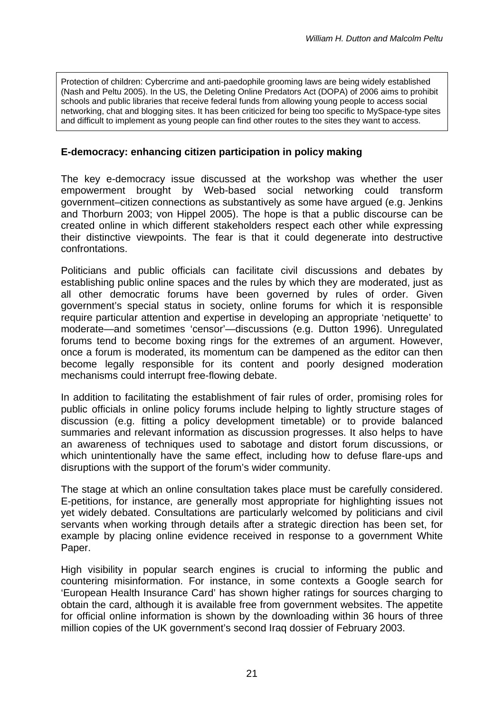<span id="page-20-0"></span>Protection of children: Cybercrime and anti-paedophile grooming laws are being widely established (Nash and Peltu 2005). In the US, the Deleting Online Predators Act (DOPA) of 2006 aims to prohibit schools and public libraries that receive federal funds from allowing young people to access social networking, chat and blogging sites. It has been criticized for being too specific to MySpace-type sites and difficult to implement as young people can find other routes to the sites they want to access.

## **E-democracy: enhancing citizen participation in policy making**

The key e-democracy issue discussed at the workshop was whether the user empowerment brought by Web-based social networking could transform government–citizen connections as substantively as some have argued (e.g. Jenkins and Thorburn 2003; von Hippel 2005). The hope is that a public discourse can be created online in which different stakeholders respect each other while expressing their distinctive viewpoints. The fear is that it could degenerate into destructive confrontations.

Politicians and public officials can facilitate civil discussions and debates by establishing public online spaces and the rules by which they are moderated, just as all other democratic forums have been governed by rules of order. Given government's special status in society, online forums for which it is responsible require particular attention and expertise in developing an appropriate 'netiquette' to moderate—and sometimes 'censor'—discussions (e.g. Dutton 1996). Unregulated forums tend to become boxing rings for the extremes of an argument. However, once a forum is moderated, its momentum can be dampened as the editor can then become legally responsible for its content and poorly designed moderation mechanisms could interrupt free-flowing debate.

In addition to facilitating the establishment of fair rules of order, promising roles for public officials in online policy forums include helping to lightly structure stages of discussion (e.g. fitting a policy development timetable) or to provide balanced summaries and relevant information as discussion progresses. It also helps to have an awareness of techniques used to sabotage and distort forum discussions, or which unintentionally have the same effect, including how to defuse flare-ups and disruptions with the support of the forum's wider community.

The stage at which an online consultation takes place must be carefully considered. E-petitions, for instance, are generally most appropriate for highlighting issues not yet widely debated. Consultations are particularly welcomed by politicians and civil servants when working through details after a strategic direction has been set, for example by placing online evidence received in response to a government White Paper.

High visibility in popular search engines is crucial to informing the public and countering misinformation. For instance, in some contexts a Google search for 'European Health Insurance Card' has shown higher ratings for sources charging to obtain the card, although it is available free from government websites. The appetite for official online information is shown by the downloading within 36 hours of three million copies of the UK government's second Iraq dossier of February 2003.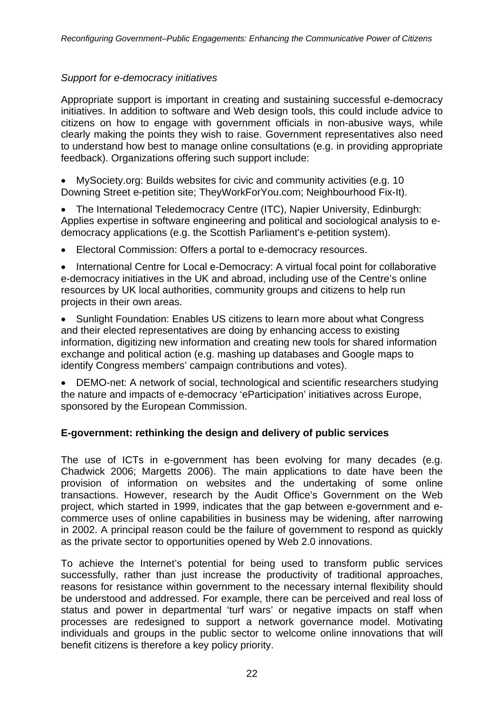### <span id="page-21-0"></span>*Support for e-democracy initiatives*

Appropriate support is important in creating and sustaining successful e-democracy initiatives. In addition to software and Web design tools, this could include advice to citizens on how to engage with government officials in non-abusive ways, while clearly making the points they wish to raise. Government representatives also need to understand how best to manage online consultations (e.g. in providing appropriate feedback). Organizations offering such support include:

• MySociety.org: Builds websites for civic and community activities (e.g. 10 Downing Street e-petition site; TheyWorkForYou.com; Neighbourhood Fix-It).

• The International Teledemocracy Centre (ITC), Napier University, Edinburgh: Applies expertise in software engineering and political and sociological analysis to edemocracy applications (e.g. the Scottish Parliament's e-petition system).

• Electoral Commission: Offers a portal to e-democracy resources.

• International Centre for Local e-Democracy: A virtual focal point for collaborative e-democracy initiatives in the UK and abroad, including use of the Centre's online resources by UK local authorities, community groups and citizens to help run projects in their own areas.

• Sunlight Foundation: Enables US citizens to learn more about what Congress and their elected representatives are doing by enhancing access to existing information, digitizing new information and creating new tools for shared information exchange and political action (e.g. mashing up databases and Google maps to identify Congress members' campaign contributions and votes).

• DEMO-net: A network of social, technological and scientific researchers studying the nature and impacts of e-democracy 'eParticipation' initiatives across Europe, sponsored by the European Commission.

#### **E-government: rethinking the design and delivery of public services**

The use of ICTs in e-government has been evolving for many decades (e.g. Chadwick 2006; Margetts 2006). The main applications to date have been the provision of information on websites and the undertaking of some online transactions. However, research by the Audit Office's Government on the Web project, which started in 1999, indicates that the gap between e-government and ecommerce uses of online capabilities in business may be widening, after narrowing in 2002. A principal reason could be the failure of government to respond as quickly as the private sector to opportunities opened by Web 2.0 innovations.

To achieve the Internet's potential for being used to transform public services successfully, rather than just increase the productivity of traditional approaches, reasons for resistance within government to the necessary internal flexibility should be understood and addressed. For example, there can be perceived and real loss of status and power in departmental 'turf wars' or negative impacts on staff when processes are redesigned to support a network governance model. Motivating individuals and groups in the public sector to welcome online innovations that will benefit citizens is therefore a key policy priority.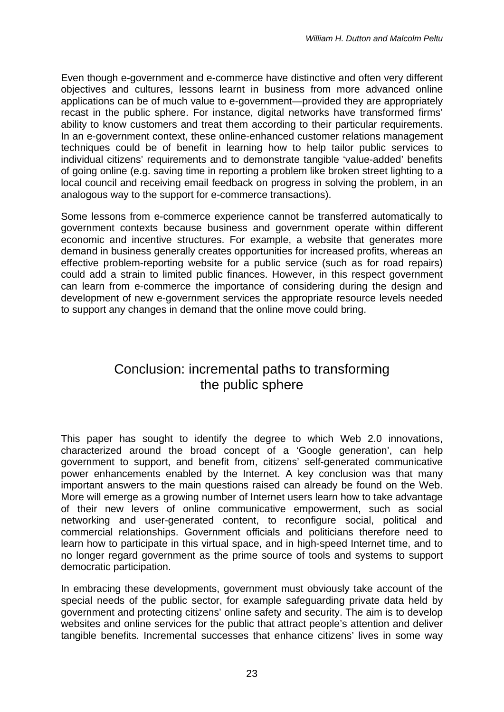<span id="page-22-0"></span>Even though e-government and e-commerce have distinctive and often very different objectives and cultures, lessons learnt in business from more advanced online applications can be of much value to e-government—provided they are appropriately recast in the public sphere. For instance, digital networks have transformed firms' ability to know customers and treat them according to their particular requirements. In an e-government context, these online-enhanced customer relations management techniques could be of benefit in learning how to help tailor public services to individual citizens' requirements and to demonstrate tangible 'value-added' benefits of going online (e.g. saving time in reporting a problem like broken street lighting to a local council and receiving email feedback on progress in solving the problem, in an analogous way to the support for e-commerce transactions).

Some lessons from e-commerce experience cannot be transferred automatically to government contexts because business and government operate within different economic and incentive structures. For example, a website that generates more demand in business generally creates opportunities for increased profits, whereas an effective problem-reporting website for a public service (such as for road repairs) could add a strain to limited public finances. However, in this respect government can learn from e-commerce the importance of considering during the design and development of new e-government services the appropriate resource levels needed to support any changes in demand that the online move could bring.

## Conclusion: incremental paths to transforming the public sphere

This paper has sought to identify the degree to which Web 2.0 innovations, characterized around the broad concept of a 'Google generation', can help government to support, and benefit from, citizens' self-generated communicative power enhancements enabled by the Internet. A key conclusion was that many important answers to the main questions raised can already be found on the Web. More will emerge as a growing number of Internet users learn how to take advantage of their new levers of online communicative empowerment, such as social networking and user-generated content, to reconfigure social, political and commercial relationships. Government officials and politicians therefore need to learn how to participate in this virtual space, and in high-speed Internet time, and to no longer regard government as the prime source of tools and systems to support democratic participation.

In embracing these developments, government must obviously take account of the special needs of the public sector, for example safeguarding private data held by government and protecting citizens' online safety and security. The aim is to develop websites and online services for the public that attract people's attention and deliver tangible benefits. Incremental successes that enhance citizens' lives in some way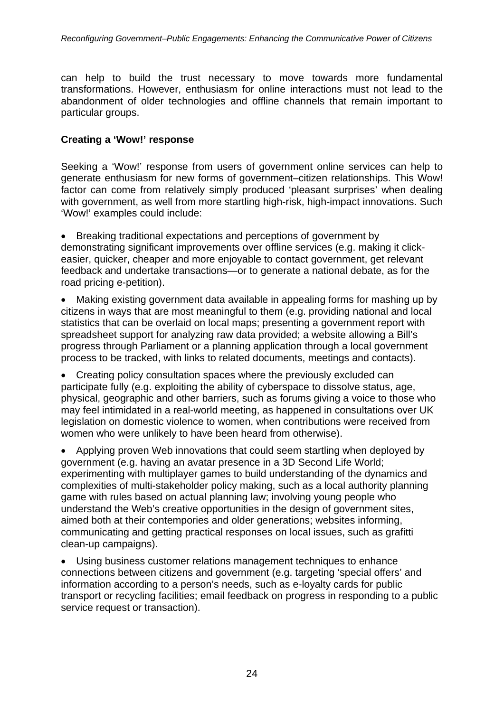<span id="page-23-0"></span>can help to build the trust necessary to move towards more fundamental transformations. However, enthusiasm for online interactions must not lead to the abandonment of older technologies and offline channels that remain important to particular groups.

## **Creating a 'Wow!' response**

Seeking a 'Wow!' response from users of government online services can help to generate enthusiasm for new forms of government–citizen relationships. This Wow! factor can come from relatively simply produced 'pleasant surprises' when dealing with government, as well from more startling high-risk, high-impact innovations. Such 'Wow!' examples could include:

• Breaking traditional expectations and perceptions of government by demonstrating significant improvements over offline services (e.g. making it clickeasier, quicker, cheaper and more enjoyable to contact government, get relevant feedback and undertake transactions—or to generate a national debate, as for the road pricing e-petition).

• Making existing government data available in appealing forms for mashing up by citizens in ways that are most meaningful to them (e.g. providing national and local statistics that can be overlaid on local maps; presenting a government report with spreadsheet support for analyzing raw data provided; a website allowing a Bill's progress through Parliament or a planning application through a local government process to be tracked, with links to related documents, meetings and contacts).

• Creating policy consultation spaces where the previously excluded can participate fully (e.g. exploiting the ability of cyberspace to dissolve status, age, physical, geographic and other barriers, such as forums giving a voice to those who may feel intimidated in a real-world meeting, as happened in consultations over UK legislation on domestic violence to women, when contributions were received from women who were unlikely to have been heard from otherwise).

• Applying proven Web innovations that could seem startling when deployed by government (e.g. having an avatar presence in a 3D Second Life World; experimenting with multiplayer games to build understanding of the dynamics and complexities of multi-stakeholder policy making, such as a local authority planning game with rules based on actual planning law; involving young people who understand the Web's creative opportunities in the design of government sites, aimed both at their contempories and older generations; websites informing, communicating and getting practical responses on local issues, such as grafitti clean-up campaigns).

• Using business customer relations management techniques to enhance connections between citizens and government (e.g. targeting 'special offers' and information according to a person's needs, such as e-loyalty cards for public transport or recycling facilities; email feedback on progress in responding to a public service request or transaction).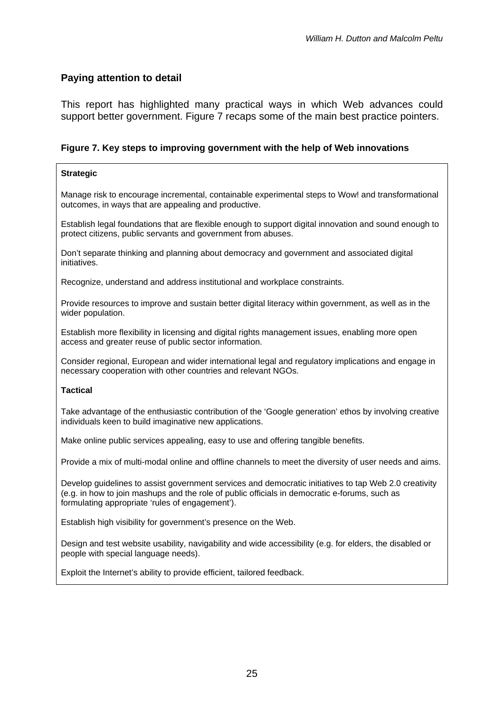### <span id="page-24-0"></span>**Paying attention to detail**

This report has highlighted many practical ways in which Web advances could support better government. Figure 7 recaps some of the main best practice pointers.

#### **Figure 7. Key steps to improving government with the help of Web innovations**

#### **Strategic**

Manage risk to encourage incremental, containable experimental steps to Wow! and transformational outcomes, in ways that are appealing and productive.

Establish legal foundations that are flexible enough to support digital innovation and sound enough to protect citizens, public servants and government from abuses.

Don't separate thinking and planning about democracy and government and associated digital initiatives.

Recognize, understand and address institutional and workplace constraints.

Provide resources to improve and sustain better digital literacy within government, as well as in the wider population.

Establish more flexibility in licensing and digital rights management issues, enabling more open access and greater reuse of public sector information.

Consider regional, European and wider international legal and regulatory implications and engage in necessary cooperation with other countries and relevant NGOs.

#### **Tactical**

Take advantage of the enthusiastic contribution of the 'Google generation' ethos by involving creative individuals keen to build imaginative new applications.

Make online public services appealing, easy to use and offering tangible benefits.

Provide a mix of multi-modal online and offline channels to meet the diversity of user needs and aims.

Develop guidelines to assist government services and democratic initiatives to tap Web 2.0 creativity (e.g. in how to join mashups and the role of public officials in democratic e-forums, such as formulating appropriate 'rules of engagement').

Establish high visibility for government's presence on the Web.

Design and test website usability, navigability and wide accessibility (e.g. for elders, the disabled or people with special language needs).

Exploit the Internet's ability to provide efficient, tailored feedback.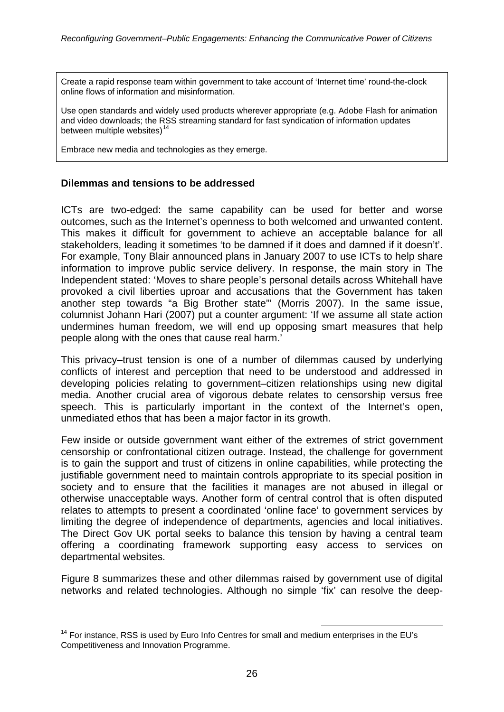<span id="page-25-0"></span>Create a rapid response team within government to take account of 'Internet time' round-the-clock online flows of information and misinformation.

Use open standards and widely used products wherever appropriate (e.g. Adobe Flash for animation and video downloads; the RSS streaming standard for fast syndication of information updates between multiple websites)<sup>[14](#page-25-1)</sup>

Embrace new media and technologies as they emerge.

#### **Dilemmas and tensions to be addressed**

ICTs are two-edged: the same capability can be used for better and worse outcomes, such as the Internet's openness to both welcomed and unwanted content. This makes it difficult for government to achieve an acceptable balance for all stakeholders, leading it sometimes 'to be damned if it does and damned if it doesn't'. For example, Tony Blair announced plans in January 2007 to use ICTs to help share information to improve public service delivery. In response, the main story in The Independent stated: 'Moves to share people's personal details across Whitehall have provoked a civil liberties uproar and accusations that the Government has taken another step towards "a Big Brother state"' (Morris 2007). In the same issue, columnist Johann Hari (2007) put a counter argument: 'If we assume all state action undermines human freedom, we will end up opposing smart measures that help people along with the ones that cause real harm.'

This privacy–trust tension is one of a number of dilemmas caused by underlying conflicts of interest and perception that need to be understood and addressed in developing policies relating to government–citizen relationships using new digital media. Another crucial area of vigorous debate relates to censorship versus free speech. This is particularly important in the context of the Internet's open, unmediated ethos that has been a major factor in its growth.

Few inside or outside government want either of the extremes of strict government censorship or confrontational citizen outrage. Instead, the challenge for government is to gain the support and trust of citizens in online capabilities, while protecting the justifiable government need to maintain controls appropriate to its special position in society and to ensure that the facilities it manages are not abused in illegal or otherwise unacceptable ways. Another form of central control that is often disputed relates to attempts to present a coordinated 'online face' to government services by limiting the degree of independence of departments, agencies and local initiatives. The Direct Gov UK portal seeks to balance this tension by having a central team offering a coordinating framework supporting easy access to services on departmental websites.

Figure 8 summarizes these and other dilemmas raised by government use of digital networks and related technologies. Although no simple 'fix' can resolve the deep-

<span id="page-25-1"></span> $14$  For instance, RSS is used by Euro Info Centres for small and medium enterprises in the EU's Competitiveness and Innovation Programme.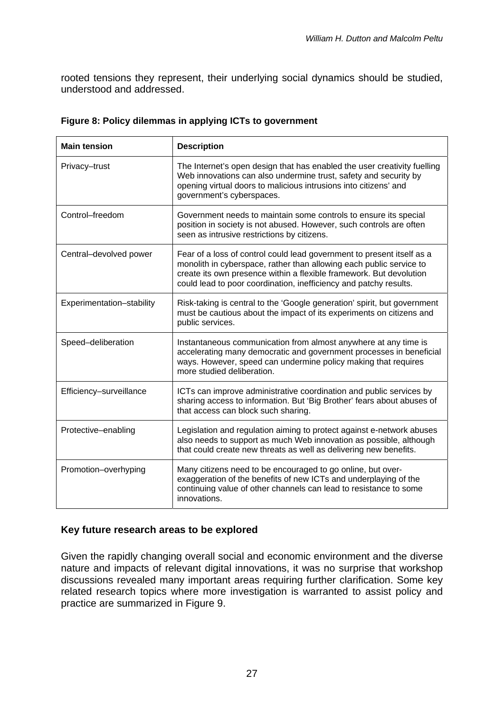<span id="page-26-0"></span>rooted tensions they represent, their underlying social dynamics should be studied, understood and addressed.

| <b>Main tension</b>       | <b>Description</b>                                                                                                                                                                                                                                                                        |
|---------------------------|-------------------------------------------------------------------------------------------------------------------------------------------------------------------------------------------------------------------------------------------------------------------------------------------|
| Privacy-trust             | The Internet's open design that has enabled the user creativity fuelling<br>Web innovations can also undermine trust, safety and security by<br>opening virtual doors to malicious intrusions into citizens' and<br>government's cyberspaces.                                             |
| Control-freedom           | Government needs to maintain some controls to ensure its special<br>position in society is not abused. However, such controls are often<br>seen as intrusive restrictions by citizens.                                                                                                    |
| Central-devolved power    | Fear of a loss of control could lead government to present itself as a<br>monolith in cyberspace, rather than allowing each public service to<br>create its own presence within a flexible framework. But devolution<br>could lead to poor coordination, inefficiency and patchy results. |
| Experimentation-stability | Risk-taking is central to the 'Google generation' spirit, but government<br>must be cautious about the impact of its experiments on citizens and<br>public services.                                                                                                                      |
| Speed-deliberation        | Instantaneous communication from almost anywhere at any time is<br>accelerating many democratic and government processes in beneficial<br>ways. However, speed can undermine policy making that requires<br>more studied deliberation.                                                    |
| Efficiency-surveillance   | ICTs can improve administrative coordination and public services by<br>sharing access to information. But 'Big Brother' fears about abuses of<br>that access can block such sharing.                                                                                                      |
| Protective-enabling       | Legislation and regulation aiming to protect against e-network abuses<br>also needs to support as much Web innovation as possible, although<br>that could create new threats as well as delivering new benefits.                                                                          |
| Promotion-overhyping      | Many citizens need to be encouraged to go online, but over-<br>exaggeration of the benefits of new ICTs and underplaying of the<br>continuing value of other channels can lead to resistance to some<br>innovations.                                                                      |

#### **Figure 8: Policy dilemmas in applying ICTs to government**

#### **Key future research areas to be explored**

Given the rapidly changing overall social and economic environment and the diverse nature and impacts of relevant digital innovations, it was no surprise that workshop discussions revealed many important areas requiring further clarification. Some key related research topics where more investigation is warranted to assist policy and practice are summarized in Figure 9.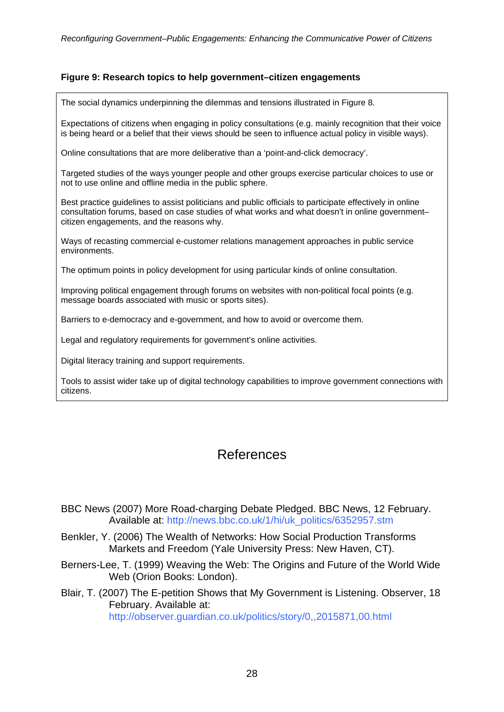#### <span id="page-27-0"></span>**Figure 9: Research topics to help government–citizen engagements**

The social dynamics underpinning the dilemmas and tensions illustrated in Figure 8.

Expectations of citizens when engaging in policy consultations (e.g. mainly recognition that their voice is being heard or a belief that their views should be seen to influence actual policy in visible ways).

Online consultations that are more deliberative than a 'point-and-click democracy'.

Targeted studies of the ways younger people and other groups exercise particular choices to use or not to use online and offline media in the public sphere.

Best practice guidelines to assist politicians and public officials to participate effectively in online consultation forums, based on case studies of what works and what doesn't in online government– citizen engagements, and the reasons why.

Ways of recasting commercial e-customer relations management approaches in public service environments.

The optimum points in policy development for using particular kinds of online consultation.

Improving political engagement through forums on websites with non-political focal points (e.g. message boards associated with music or sports sites).

Barriers to e-democracy and e-government, and how to avoid or overcome them.

Legal and regulatory requirements for government's online activities.

Digital literacy training and support requirements.

Tools to assist wider take up of digital technology capabilities to improve government connections with citizens.

## References

BBC News (2007) More Road-charging Debate Pledged. BBC News, 12 February. Available at: [http://news.bbc.co.uk/1/hi/uk\\_politics/6352957.stm](http://news.bbc.co.uk/1/hi/uk_politics/6352957.stm) 

Benkler, Y. (2006) The Wealth of Networks: How Social Production Transforms Markets and Freedom (Yale University Press: New Haven, CT).

Berners-Lee, T. (1999) Weaving the Web: The Origins and Future of the World Wide Web (Orion Books: London).

Blair, T. (2007) The E-petition Shows that My Government is Listening. Observer, 18 February. Available at: <http://observer.guardian.co.uk/politics/story/0,,2015871,00.html>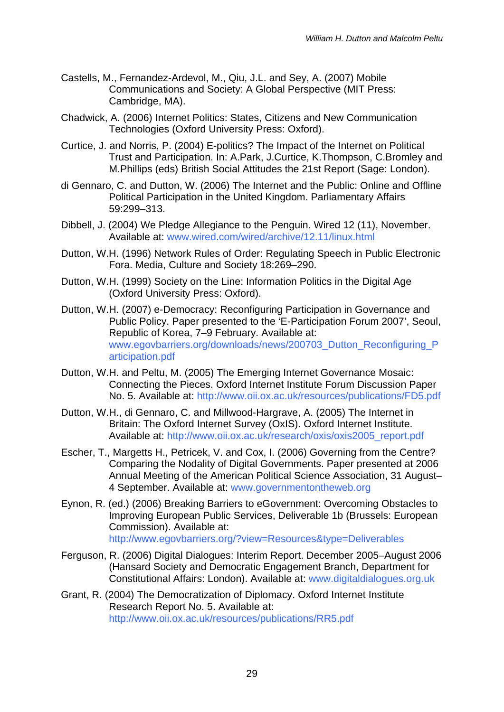- Castells, M., Fernandez-Ardevol, M., Qiu, J.L. and Sey, A. (2007) Mobile Communications and Society: A Global Perspective (MIT Press: Cambridge, MA).
- Chadwick, A. (2006) Internet Politics: States, Citizens and New Communication Technologies (Oxford University Press: Oxford).
- Curtice, J. and Norris, P. (2004) E-politics? The Impact of the Internet on Political Trust and Participation. In: A.Park, J.Curtice, K.Thompson, C.Bromley and M.Phillips (eds) British Social Attitudes the 21st Report (Sage: London).
- di Gennaro, C. and Dutton, W. (2006) The Internet and the Public: Online and Offline Political Participation in the United Kingdom. Parliamentary Affairs 59:299–313.
- Dibbell, J. (2004) We Pledge Allegiance to the Penguin. Wired 12 (11), November. Available at: [www.wired.com/wired/archive/12.11/linux.html](http://www.wired.com/wired/archive/12.11/linux.html)
- Dutton, W.H. (1996) Network Rules of Order: Regulating Speech in Public Electronic Fora. Media, Culture and Society 18:269–290.
- Dutton, W.H. (1999) Society on the Line: Information Politics in the Digital Age (Oxford University Press: Oxford).
- Dutton, W.H. (2007) e-Democracy: Reconfiguring Participation in Governance and Public Policy. Paper presented to the 'E-Participation Forum 2007', Seoul, Republic of Korea, 7–9 February. Available at: [www.egovbarriers.org/downloads/news/200703\\_Dutton\\_Reconfiguring\\_P](http://www.egovbarriers.org/downloads/news/200703_Dutton_Reconfiguring_Participation.pdf) [articipation.pdf](http://www.egovbarriers.org/downloads/news/200703_Dutton_Reconfiguring_Participation.pdf)
- Dutton, W.H. and Peltu, M. (2005) The Emerging Internet Governance Mosaic: Connecting the Pieces. Oxford Internet Institute Forum Discussion Paper No. 5. Available at: <http://www.oii.ox.ac.uk/resources/publications/FD5.pdf>
- Dutton, W.H., di Gennaro, C. and Millwood-Hargrave, A. (2005) The Internet in Britain: The Oxford Internet Survey (OxIS). Oxford Internet Institute. Available at: [http://www.oii.ox.ac.uk/research/oxis/oxis2005\\_report.pdf](http://www.oii.ox.ac.uk/research/oxis/oxis2005_report.pdf)
- Escher, T., Margetts H., Petricek, V. and Cox, I. (2006) Governing from the Centre? Comparing the Nodality of Digital Governments. Paper presented at 2006 Annual Meeting of the American Political Science Association, 31 August– 4 September. Available at: [www.governmentontheweb.org](http://www.governmentontheweb.org/)
- Eynon, R. (ed.) (2006) Breaking Barriers to eGovernment: Overcoming Obstacles to Improving European Public Services, Deliverable 1b (Brussels: European Commission). Available at: <http://www.egovbarriers.org/?view=Resources&type=Deliverables>
- Ferguson, R. (2006) Digital Dialogues: Interim Report. December 2005–August 2006 (Hansard Society and Democratic Engagement Branch, Department for Constitutional Affairs: London). Available at: [www.digitaldialogues.org.uk](http://www.digitaldialogues.org.uk/)
- Grant, R. (2004) The Democratization of Diplomacy. Oxford Internet Institute Research Report No. 5. Available at: <http://www.oii.ox.ac.uk/resources/publications/RR5.pdf>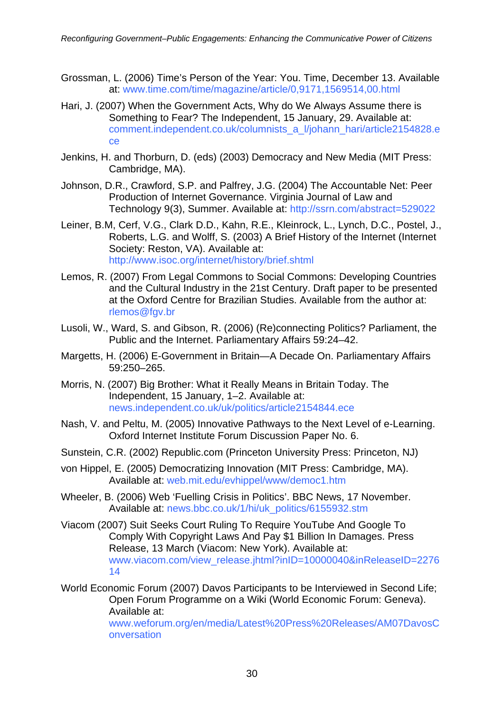- Grossman, L. (2006) Time's Person of the Year: You. Time, December 13. Available at: [www.time.com/time/magazine/article/0,9171,1569514,00.html](http://www.time.com/time/magazine/article/0,9171,1569514,00.html)
- Hari, J. (2007) When the Government Acts, Why do We Always Assume there is Something to Fear? The Independent, 15 January, 29. Available at: [comment.independent.co.uk/columnists\\_a\\_l/johann\\_hari/article2154828.e](http://comment.independent.co.uk/columnists_a_l/johann_hari/article2154828.ece) [ce](http://comment.independent.co.uk/columnists_a_l/johann_hari/article2154828.ece)
- Jenkins, H. and Thorburn, D. (eds) (2003) Democracy and New Media (MIT Press: Cambridge, MA).
- Johnson, D.R., Crawford, S.P. and Palfrey, J.G. (2004) The Accountable Net: Peer Production of Internet Governance. Virginia Journal of Law and Technology 9(3), Summer. Available at: <http://ssrn.com/abstract=529022>
- Leiner, B.M, Cerf, V.G., Clark D.D., Kahn, R.E., Kleinrock, L., Lynch, D.C., Postel, J., Roberts, L.G. and Wolff, S. (2003) A Brief History of the Internet (Internet Society: Reston, VA). Available at: <http://www.isoc.org/internet/history/brief.shtml>
- Lemos, R. (2007) From Legal Commons to Social Commons: Developing Countries and the Cultural Industry in the 21st Century. Draft paper to be presented at the Oxford Centre for Brazilian Studies. Available from the author at: [rlemos@fgv.br](mailto:rlemos@fgv.br)
- Lusoli, W., Ward, S. and Gibson, R. (2006) (Re)connecting Politics? Parliament, the Public and the Internet. Parliamentary Affairs 59:24–42.
- Margetts, H. (2006) E-Government in Britain—A Decade On. Parliamentary Affairs 59:250–265.
- Morris, N. (2007) Big Brother: What it Really Means in Britain Today. The Independent, 15 January, 1–2. Available at: [news.independent.co.uk/uk/politics/article2154844.ece](http://news.independent.co.uk/uk/politics/article2154844.ece)
- Nash, V. and Peltu, M. (2005) Innovative Pathways to the Next Level of e-Learning. Oxford Internet Institute Forum Discussion Paper No. 6.
- Sunstein, C.R. (2002) Republic.com (Princeton University Press: Princeton, NJ)
- von Hippel, E. (2005) Democratizing Innovation (MIT Press: Cambridge, MA). Available at: [web.mit.edu/evhippel/www/democ1.htm](http://web.mit.edu/evhippel/www/democ1.htm)
- Wheeler, B. (2006) Web 'Fuelling Crisis in Politics'. BBC News, 17 November. Available at: [news.bbc.co.uk/1/hi/uk\\_politics/6155932.stm](http://news.bbc.co.uk/1/hi/uk_politics/6155932.stm)
- Viacom (2007) Suit Seeks Court Ruling To Require YouTube And Google To Comply With Copyright Laws And Pay \$1 Billion In Damages. Press Release, 13 March (Viacom: New York). Available at: [www.viacom.com/view\\_release.jhtml?inID=10000040&inReleaseID=2276](http://www.viacom.com/view_release.jhtml?inID=10000040&inReleaseID=227614) [14](http://www.viacom.com/view_release.jhtml?inID=10000040&inReleaseID=227614)
- World Economic Forum (2007) Davos Participants to be Interviewed in Second Life; Open Forum Programme on a Wiki (World Economic Forum: Geneva). Available at:

[www.weforum.org/en/media/Latest%20Press%20Releases/AM07DavosC](http://www.weforum.org/en/media/Latest%20Press%20Releases/AM07DavosConversation) [onversation](http://www.weforum.org/en/media/Latest%20Press%20Releases/AM07DavosConversation)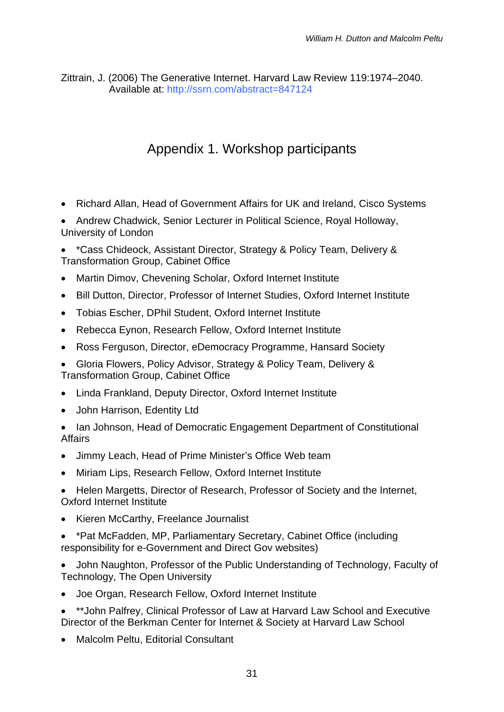<span id="page-30-0"></span>Zittrain, J. (2006) The Generative Internet. Harvard Law Review 119:1974–2040. Available at:<http://ssrn.com/abstract=847124>

# Appendix 1. Workshop participants

- Richard Allan, Head of Government Affairs for UK and Ireland, Cisco Systems
- Andrew Chadwick, Senior Lecturer in Political Science, Royal Holloway, University of London
- \*Cass Chideock, Assistant Director, Strategy & Policy Team, Delivery & Transformation Group, Cabinet Office
- Martin Dimov, Chevening Scholar, Oxford Internet Institute
- Bill Dutton, Director, Professor of Internet Studies, Oxford Internet Institute
- Tobias Escher, DPhil Student, Oxford Internet Institute
- Rebecca Eynon, Research Fellow, Oxford Internet Institute
- Ross Ferguson, Director, eDemocracy Programme, Hansard Society
- Gloria Flowers, Policy Advisor, Strategy & Policy Team, Delivery & Transformation Group, Cabinet Office
- Linda Frankland, Deputy Director, Oxford Internet Institute
- John Harrison, Edentity Ltd
- Ian Johnson, Head of Democratic Engagement Department of Constitutional Affairs
- Jimmy Leach, Head of Prime Minister's Office Web team
- Miriam Lips, Research Fellow, Oxford Internet Institute
- Helen Margetts, Director of Research, Professor of Society and the Internet, Oxford Internet Institute
- Kieren McCarthy, Freelance Journalist
- \*Pat McFadden, MP, Parliamentary Secretary, Cabinet Office (including responsibility for e-Government and Direct Gov websites)
- John Naughton, Professor of the Public Understanding of Technology, Faculty of Technology, The Open University
- Joe Organ, Research Fellow, Oxford Internet Institute
- \*\*John Palfrey, Clinical Professor of Law at Harvard Law School and Executive Director of the Berkman Center for Internet & Society at Harvard Law School
- Malcolm Peltu, Editorial Consultant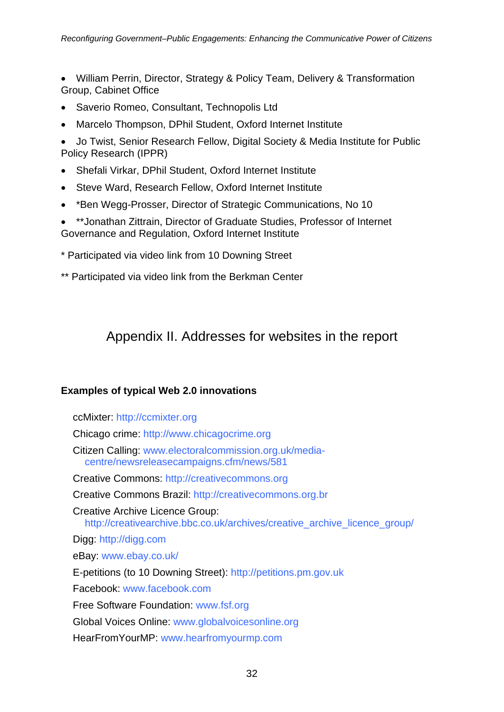- <span id="page-31-0"></span>• William Perrin, Director, Strategy & Policy Team, Delivery & Transformation Group, Cabinet Office
- Saverio Romeo, Consultant, Technopolis Ltd
- Marcelo Thompson, DPhil Student, Oxford Internet Institute
- Jo Twist, Senior Research Fellow, Digital Society & Media Institute for Public Policy Research (IPPR)
- Shefali Virkar, DPhil Student, Oxford Internet Institute
- Steve Ward, Research Fellow, Oxford Internet Institute
- \*Ben Wegg-Prosser, Director of Strategic Communications, No 10
- \*\*Jonathan Zittrain, Director of Graduate Studies, Professor of Internet Governance and Regulation, Oxford Internet Institute
- \* Participated via video link from 10 Downing Street
- \*\* Participated via video link from the Berkman Center

## Appendix II. Addresses for websites in the report

#### **Examples of typical Web 2.0 innovations**

ccMixter: [http://ccmixter.org](http://ccmixter.org/)  Chicago crime: [http://www.chicagocrime.org](http://www.chicagocrime.org/) Citizen Calling: [www.electoralcommission.org.uk/media](http://www.electoralcommission.org.uk/media-centre/newsreleasecampaigns.cfm/news/581)[centre/newsreleasecampaigns.cfm/news/581](http://www.electoralcommission.org.uk/media-centre/newsreleasecampaigns.cfm/news/581)  Creative Commons: [http://creativecommons.org](http://creativecommons.org/) Creative Commons Brazil: [http://creativecommons.org.br](http://creativecommons.org.br/)  Creative Archive Licence Group: [http://creativearchive.bbc.co.uk/archives/creative\\_archive\\_licence\\_group/](http://creativearchive.bbc.co.uk/archives/creative_archive_licence_group/) Digg: [http://digg.com](http://digg.com/) eBay: [www.ebay.co.uk/](http://www.ebay.co.uk/)  E-petitions (to 10 Downing Street): [http://petitions.pm.gov.uk](http://petitions.pm.gov.uk/) Facebook: [www.facebook.com](http://www.facebook.com/) Free Software Foundation: [www.fsf.org](http://www.fsf.org/) Global Voices Online: [www.globalvoicesonline.org](http://www.globalvoicesonline.org/) HearFromYourMP: [www.hearfromyourmp.com](http://www.hearfromyourmp.com/)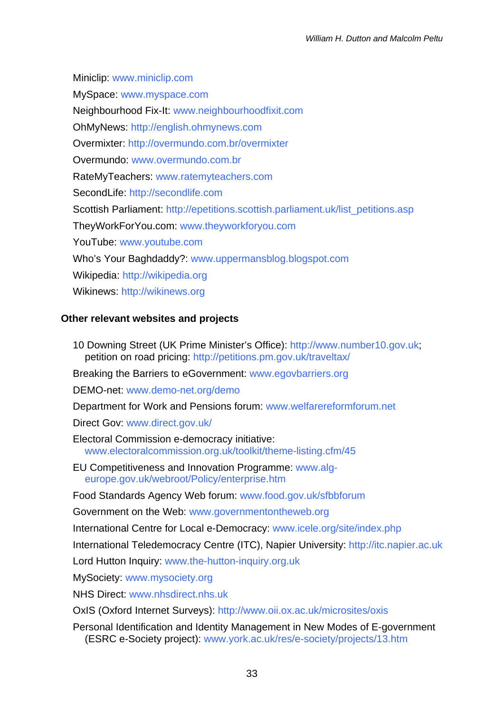<span id="page-32-0"></span>Miniclip: [www.miniclip.com](http://www.miniclip.com/) MySpace: [www.myspace.com](http://www.myspace.com/) Neighbourhood Fix-It: [www.neighbourhoodfixit.com](http://www.neighbourhoodfixit.com/) OhMyNews: [http://english.ohmynews.com](http://english.ohmynews.com/) Overmixter: <http://overmundo.com.br/overmixter> Overmundo: [www.overmundo.com.br](http://www.overmundo.com.br/) RateMyTeachers: [www.ratemyteachers.com](http://www.ratemyteachers.com/) SecondLife: [http://secondlife.com](http://secondlife.com/) Scottish Parliament: [http://epetitions.scottish.parliament.uk/list\\_petitions.asp](http://epetitions.scottish.parliament.uk/list_petitions.asp) TheyWorkForYou.com: [www.theyworkforyou.com](http://www.theyworkforyou.com/) YouTube: [www.youtube.com](http://www.youtube.com/) Who's Your Baghdaddy?: [www.uppermansblog.blogspot.com](http://www.uppermansblog.blogspot.com/) Wikipedia: [http://wikipedia.org](http://wikipedia.org/) Wikinews: [http://wikinews.org](http://wikinews.org/)

## **Other relevant websites and projects**

10 Downing Street (UK Prime Minister's Office): [http://www.number10.gov.uk;](http://www.number10.gov.uk/) petition on road pricing:<http://petitions.pm.gov.uk/traveltax/> Breaking the Barriers to eGovernment: [www.egovbarriers.org](http://www.oii.ox.ac.uk/research/publications.cfmwww.egovbarriers.org) DEMO-net: [www.demo-net.org/demo](http://www.demo-net.org/demo) Department for Work and Pensions forum: [www.welfarereformforum.net](http://www.welfarereformforum.net/) Direct Gov: [www.direct.gov.uk/](http://www.direct.gov.uk/) Electoral Commission e-democracy initiative: [www.electoralcommission.org.uk/toolkit/theme-listing.cfm/45](http://www.electoralcommission.org.uk/toolkit/theme-listing.cfm/45) EU Competitiveness and Innovation Programme: [www.alg](http://www.alg-europe.gov.uk/webroot/Policy/enterprise.htm)[europe.gov.uk/webroot/Policy/enterprise.htm](http://www.alg-europe.gov.uk/webroot/Policy/enterprise.htm) Food Standards Agency Web forum: [www.food.gov.uk/sfbbforum](http://www.food.gov.uk/sfbbforum) Government on the Web: [www.governmentontheweb.org](http://www.governmentontheweb.org/) International Centre for Local e-Democracy: [www.icele.org/site/index.php](http://www.icele.org/site/index.php) International Teledemocracy Centre (ITC), Napier University: [http://itc.napier.ac.uk](http://itc.napier.ac.uk/)  Lord Hutton Inquiry: [www.the-hutton-inquiry.org.uk](http://www.the-hutton-inquiry.org.uk/) MySociety: [www.mysociety.org](http://www.mysociety.org/) NHS Direct: [www.nhsdirect.nhs.uk](http://www.nhsdirect.nhs.uk/) OxIS (Oxford Internet Surveys): <http://www.oii.ox.ac.uk/microsites/oxis>

Personal Identification and Identity Management in New Modes of E-government (ESRC e-Society project): [www.york.ac.uk/res/e-society/projects/13.htm](http://www.york.ac.uk/res/e-society/projects/13.htm)